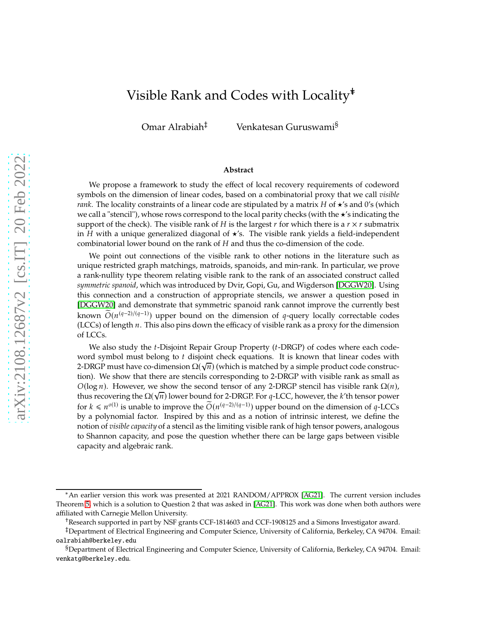# Visible Rank and Codes with Locality∗†

Omar Alrabiah‡ Venkatesan Guruswami§

#### **Abstract**

We propose a framework to study the effect of local recovery requirements of codeword symbols on the dimension of linear codes, based on a combinatorial proxy that we call *visible rank*. The locality constraints of a linear code are stipulated by a matrix  $H$  of  $\star$ 's and 0's (which we call a "stencil"), whose rows correspond to the local parity checks (with the ★'s indicating the support of the check). The visible rank of H is the largest r for which there is a  $r \times r$  submatrix in H with a unique generalized diagonal of  $\star$ 's. The visible rank yields a field-independent combinatorial lower bound on the rank of  $H$  and thus the co-dimension of the code.

We point out connections of the visible rank to other notions in the literature such as unique restricted graph matchings, matroids, spanoids, and min-rank. In particular, we prove a rank-nullity type theorem relating visible rank to the rank of an associated construct called *symmetric spanoid*, which was introduced by Dvir, Gopi, Gu, and Wigderson [\[DGGW20\]](#page-19-0). Using this connection and a construction of appropriate stencils, we answer a question posed in [\[DGGW20\]](#page-19-0) and demonstrate that symmetric spanoid rank cannot improve the currently best known  $O(n^{(q-2)/(q-1)})$  upper bound on the dimension of q-query locally correctable codes (LCCs) of length  $n$ . This also pins down the efficacy of visible rank as a proxy for the dimension of LCCs.

We also study the  $t$ -Disjoint Repair Group Property  $(t$ -DRGP) of codes where each codeword symbol must belong to  $t$  disjoint check equations. It is known that linear codes with 2-DRGP must have co-dimension  $\Omega(\sqrt{n})$  (which is matched by a simple product code construction). We show that there are stencils corresponding to 2-DRGP with visible rank as small as  $O(\log n)$ . However, we show the second tensor of any 2-DRGP stencil has visible rank  $\Omega(n)$ , thus recovering the  $\Omega(\sqrt{n})$  lower bound for 2-DRGP. For q-LCC, however, the k'th tensor power for  $k \le n^{o(1)}$  is unable to improve the  $\widetilde{O}(n^{(q-2)/(q-1)})$  upper bound on the dimension of  $q$ -LCCs by a polynomial factor. Inspired by this and as a notion of intrinsic interest, we define the notion of *visible capacity* of a stencil as the limiting visible rank of high tensor powers, analogous to Shannon capacity, and pose the question whether there can be large gaps between visible capacity and algebraic rank.

<sup>∗</sup>An earlier version this work was presented at 2021 RANDOM/APPROX [\[AG21\]](#page-19-1). The current version includes Theorem [5,](#page-4-0) which is a solution to Question 2 that was asked in [\[AG21\]](#page-19-1). This work was done when both authors were affiliated with Carnegie Mellon University.

<sup>†</sup>Research supported in part by NSF grants CCF-1814603 and CCF-1908125 and a Simons Investigator award.

<sup>‡</sup>Department of Electrical Engineering and Computer Science, University of California, Berkeley, CA 94704. Email: oalrabiah@berkeley.edu

<sup>§</sup>Department of Electrical Engineering and Computer Science, University of California, Berkeley, CA 94704. Email: venkatg@berkeley.edu.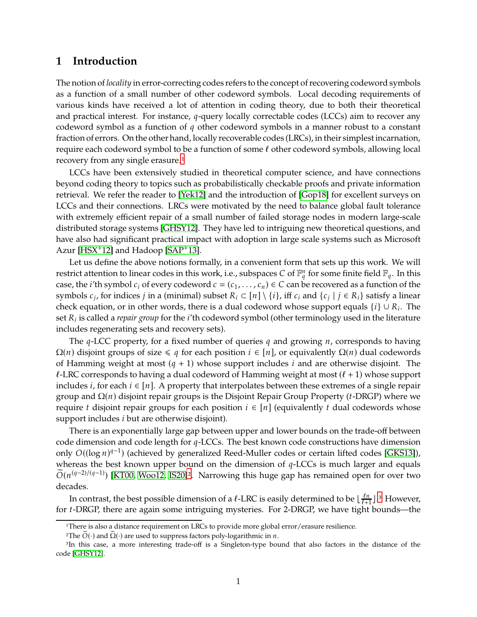## **1 Introduction**

The notion of *locality* in error-correcting codes refers to the concept of recovering codeword symbols as a function of a small number of other codeword symbols. Local decoding requirements of various kinds have received a lot of attention in coding theory, due to both their theoretical and practical interest. For instance,  $q$ -query locally correctable codes (LCCs) aim to recover any codeword symbol as a function of  $q$  other codeword symbols in a manner robust to a constant fraction of errors. On the other hand, locally recoverable codes (LRCs), in their simplest incarnation, require each codeword symbol to be a function of some ℓ other codeword symbols, allowing local recovery from any single erasure.<sup>[1](#page-1-0)</sup>

LCCs have been extensively studied in theoretical computer science, and have connections beyond coding theory to topics such as probabilistically checkable proofs and private information retrieval. We refer the reader to [\[Yek12\]](#page-21-0) and the introduction of [\[Gop18\]](#page-20-0) for excellent surveys on LCCs and their connections. LRCs were motivated by the need to balance global fault tolerance with extremely efficient repair of a small number of failed storage nodes in modern large-scale distributed storage systems [\[GHSY12\]](#page-20-1). They have led to intriguing new theoretical questions, and have also had significant practical impact with adoption in large scale systems such as Microsoft Azur [\[HSX](#page-20-2)<sup>+</sup>12] and Hadoop [\[SAP](#page-21-1)<sup>+</sup>13].

Let us define the above notions formally, in a convenient form that sets up this work. We will restrict attention to linear codes in this work, i.e., subspaces C of  $\mathbb{F}_q^n$  for some finite field  $\mathbb{F}_q$ . In this case, the *i*'th symbol  $c_i$  of every codeword  $c = (c_1, \ldots, c_n) \in C$  can be recovered as a function of the symbols  $c_j$ , for indices  $j$  in a (minimal) subset  $R_i \subset [n] \setminus \{i\}$ , iff  $c_i$  and  $\{c_j \mid j \in R_i\}$  satisfy a linear check equation, or in other words, there is a dual codeword whose support equals  $\{i\} \cup R_i$ . The set  $R_i$  is called a *repair group* for the  $i'$ th codeword symbol (other terminology used in the literature includes regenerating sets and recovery sets).

The  $q$ -LCC property, for a fixed number of queries  $q$  and growing  $n$ , corresponds to having  $\Omega(n)$  disjoint groups of size  $\leq q$  for each position  $i \in [n]$ , or equivalently  $\Omega(n)$  dual codewords of Hamming weight at most  $(q + 1)$  whose support includes *i* and are otherwise disjoint. The  $\ell$ -LRC corresponds to having a dual codeword of Hamming weight at most  $(\ell + 1)$  whose support includes *i*, for each  $i \in [n]$ . A property that interpolates between these extremes of a single repair group and  $\Omega(n)$  disjoint repair groups is the Disjoint Repair Group Property (*t*-DRGP) where we require *t* disjoint repair groups for each position  $i \in [n]$  (equivalently *t* dual codewords whose support includes  $i$  but are otherwise disjoint).

There is an exponentially large gap between upper and lower bounds on the trade-off between code dimension and code length for  $q$ -LCCs. The best known code constructions have dimension only  $O((\log n)^{q-1})$  (achieved by generalized Reed-Muller codes or certain lifted codes [\[GKS13\]](#page-20-3)), whereas the best known upper bound on the dimension of  $q$ -LCCs is much larger and equals  $\widetilde{O}(n^{(q-2)/(q-1)})$  $\widetilde{O}(n^{(q-2)/(q-1)})$  $\widetilde{O}(n^{(q-2)/(q-1)})$  [\[KT00,](#page-20-4) [Woo12,](#page-21-2) [IS20\]](#page-20-5)<sup>2</sup>. Narrowing this huge gap has remained open for over two decades.

In contrast, the best possible dimension of a  $\ell$ -LRC is easily determined to be  $\lfloor\frac{\ell n}{\ell+1}\rfloor$  $\frac{\ell n}{\ell+1}$ ].<sup>[3](#page-1-2)</sup> However, for *t*-DRGP, there are again some intriguing mysteries. For 2-DRGP, we have tight bounds—the

<sup>&</sup>lt;sup>1</sup>There is also a distance requirement on LRCs to provide more global error/erasure resilience.

<span id="page-1-1"></span><span id="page-1-0"></span><sup>&</sup>lt;sup>2</sup>The  $O(·)$  and  $\Omega(·)$  are used to suppress factors poly-logarithmic in *n*.

<span id="page-1-2"></span><sup>&</sup>lt;sup>3</sup>In this case, a more interesting trade-off is a Singleton-type bound that also factors in the distance of the code [\[GHSY12\]](#page-20-1).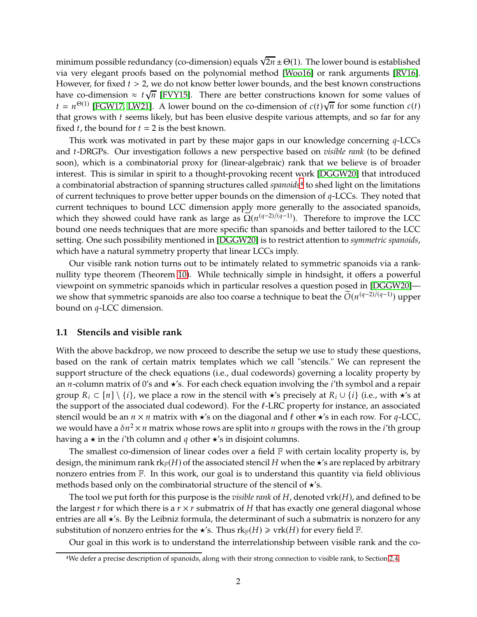minimum possible redundancy (co-dimension) equals  $\sqrt{2n}\pm\Theta(1)$ . The lower bound is established via very elegant proofs based on the polynomial method [\[Woo16\]](#page-21-3) or rank arguments [\[RV16\]](#page-21-4). However, for fixed  $t > 2$ , we do not know better lower bounds, and the best known constructions have co-dimension  $\approx t\sqrt{n}$  [\[FVY15\]](#page-20-6). There are better constructions known for some values of  $t = n^{\Theta(1)}$  [\[FGW17,](#page-19-2) [LW21\]](#page-20-7). A lower bound on the co-dimension of  $c(t)\sqrt{n}$  for some function  $c(t)$ that grows with  $t$  seems likely, but has been elusive despite various attempts, and so far for any fixed  $t$ , the bound for  $t = 2$  is the best known.

This work was motivated in part by these major gaps in our knowledge concerning  $q$ -LCCs and *t*-DRGPs. Our investigation follows a new perspective based on *visible rank* (to be defined soon), which is a combinatorial proxy for (linear-algebraic) rank that we believe is of broader interest. This is similar in spirit to a thought-provoking recent work [\[DGGW20\]](#page-19-0) that introduced a combinatorial abstraction of spanning structures called *spanoids*[4](#page-2-0) to shed light on the limitations of current techniques to prove better upper bounds on the dimension of  $q$ -LCCs. They noted that current techniques to bound LCC dimension apply more generally to the associated spanoids, which they showed could have rank as large as  $\Omega(n^{(q-2)/(q-1)})$ . Therefore to improve the LCC bound one needs techniques that are more specific than spanoids and better tailored to the LCC setting. One such possibility mentioned in [\[DGGW20\]](#page-19-0) is to restrict attention to *symmetric spanoids*, which have a natural symmetry property that linear LCCs imply.

Our visible rank notion turns out to be intimately related to symmetric spanoids via a ranknullity type theorem (Theorem [10\)](#page-10-0). While technically simple in hindsight, it offers a powerful viewpoint on symmetric spanoids which in particular resolves a question posed in [\[DGGW20\]](#page-19-0) we show that symmetric spanoids are also too coarse a technique to beat the  $\tilde{O}(n^{(q-2)/(q-1)})$  upper bound on  $q$ -LCC dimension.

#### **1.1 Stencils and visible rank**

With the above backdrop, we now proceed to describe the setup we use to study these questions, based on the rank of certain matrix templates which we call "stencils." We can represent the support structure of the check equations (i.e., dual codewords) governing a locality property by an *n*-column matrix of 0's and  $\star$ 's. For each check equation involving the *i*'th symbol and a repair group  $R_i \subset [n] \setminus \{i\}$ , we place a row in the stencil with  $\star$ 's precisely at  $R_i \cup \{i\}$  (i.e., with  $\star$ 's at the support of the associated dual codeword). For the  $\ell$ -LRC property for instance, an associated stencil would be an  $n \times n$  matrix with  $\star$ 's on the diagonal and  $\ell$  other  $\star$ 's in each row. For  $q$ -LCC, we would have a  $\delta n^2 \times n$  matrix whose rows are split into  $n$  groups with the rows in the  $i$ 'th group having a  $\star$  in the *i*'th column and *q* other  $\star$ 's in disjoint columns.

The smallest co-dimension of linear codes over a field  $F$  with certain locality property is, by design, the minimum rank  $rk_F(H)$  of the associated stencil H when the  $\star$ 's are replaced by arbitrary nonzero entries from F. In this work, our goal is to understand this quantity via field oblivious methods based only on the combinatorial structure of the stencil of  $\star$ 's.

The tool we put forth for this purpose is the *visible rank* of  $H$ , denoted vrk $(H)$ , and defined to be the largest  $r$  for which there is a  $r \times r$  submatrix of  $H$  that has exactly one general diagonal whose entries are all ★'s. By the Leibniz formula, the determinant of such a submatrix is nonzero for any substitution of nonzero entries for the  $\star$ 's. Thus  $rk_F(H) \geqslant \text{vrk}(H)$  for every field  $\mathbb{F}$ .

Our goal in this work is to understand the interrelationship between visible rank and the co-

<span id="page-2-0"></span><sup>4</sup>We defer a precise description of spanoids, along with their strong connection to visible rank, to Section [2.4.](#page-9-0)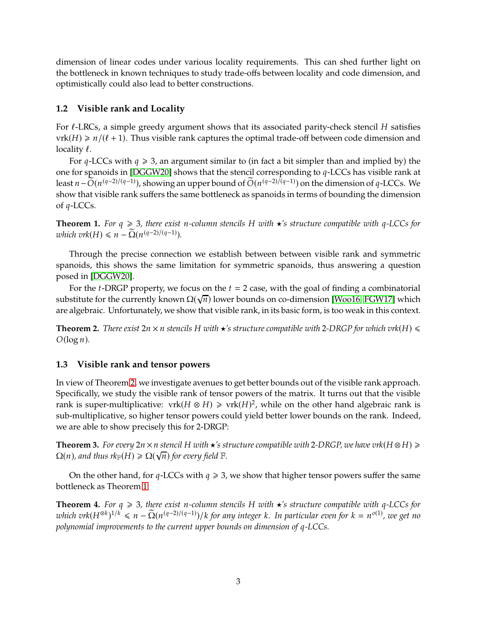dimension of linear codes under various locality requirements. This can shed further light on the bottleneck in known techniques to study trade-offs between locality and code dimension, and optimistically could also lead to better constructions.

## **1.2 Visible rank and Locality**

For  $\ell$ -LRCs, a simple greedy argument shows that its associated parity-check stencil H satisfies  $vrk(H) \geq n/(\ell+1)$ . Thus visible rank captures the optimal trade-off between code dimension and locality  $\ell$ .

For  $q$ -LCCs with  $q \geq 3$ , an argument similar to (in fact a bit simpler than and implied by) the one for spanoids in [\[DGGW20\]](#page-19-0) shows that the stencil corresponding to  $q$ -LCCs has visible rank at least  $n-\tilde{O}(n^{(q-2)/(q-1)})$ , showing an upper bound of  $\tilde{O}(n^{(q-2)/(q-1)})$  on the dimension of  $q$ -LCCs. We show that visible rank suffers the same bottleneck as spanoids in terms of bounding the dimension of  $q$ -LCCs.

<span id="page-3-1"></span>**Theorem 1.** For  $q \ge 3$ , there exist n-column stencils H with  $\star$ 's structure compatible with  $q$ -LCCs for *which vrk*( $H$ )  $\leq n - \tilde{\Omega}(n^{(q-2)/(q-1)})$ .

Through the precise connection we establish between between visible rank and symmetric spanoids, this shows the same limitation for symmetric spanoids, thus answering a question posed in [\[DGGW20\]](#page-19-0).

For the *t*-DRGP property, we focus on the  $t = 2$  case, with the goal of finding a combinatorial substitute for the currently known  $\Omega(\sqrt{n})$  lower bounds on co-dimension [\[Woo16,](#page-21-3) [FGW17\]](#page-19-2) which are algebraic. Unfortunately, we show that visible rank, in its basic form, is too weak in this context.

<span id="page-3-0"></span>**Theorem 2.** *There exist*  $2n \times n$  *stencils* H *with*  $\star$ 's *structure compatible with* 2-DRGP for *which vrk*(H)  $\le$  $O(\log n)$ .

## **1.3 Visible rank and tensor powers**

In view of Theorem [2,](#page-3-0) we investigate avenues to get better bounds out of the visible rank approach. Specifically, we study the visible rank of tensor powers of the matrix. It turns out that the visible rank is super-multiplicative:  $vrk(H \otimes H) \geqslant vrk(H)^2$ , while on the other hand algebraic rank is sub-multiplicative, so higher tensor powers could yield better lower bounds on the rank. Indeed, we are able to show precisely this for 2-DRGP:

<span id="page-3-2"></span>**Theorem 3.** For every  $2n \times n$  stencil H with  $\star$ 's structure compatible with 2-DRGP, we have vrk( $H \otimes H$ )  $\geq$  $\Omega(n)$ , and thus  $rk_{\mathbb{F}}(H) \geqslant \Omega(\sqrt{n})$  for every field  $\mathbb{F}$ .

On the other hand, for  $q$ -LCCs with  $q \ge 3$ , we show that higher tensor powers suffer the same bottleneck as Theorem [1.](#page-3-1)

**Theorem 4.** For  $q \ge 3$ , there exist *n*-column stencils H with  $\star$ 's structure compatible with  $q$ -LCCs for  $which$   $\text{tr}(H^{\otimes k})^{1/k} \leq n - \Omega(n^{(q-2)/(q-1)})/k$  for any integer k. In particular even for  $k = n^{o(1)}$ , we get no *polynomial improvements to the current upper bounds on dimension of q-LCCs.*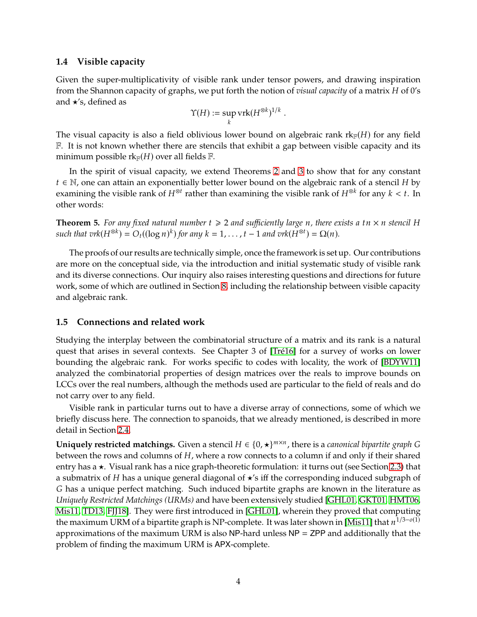## **1.4 Visible capacity**

Given the super-multiplicativity of visible rank under tensor powers, and drawing inspiration from the Shannon capacity of graphs, we put forth the notion of *visual capacity* of a matrix *H* of 0's and ★'s, defined as

$$
\Upsilon(H) := \sup_k \mathrm{vrk}(H^{\otimes k})^{1/k}
$$

.

The visual capacity is also a field oblivious lower bound on algebraic rank  $rk_{\mathbb{F}}(H)$  for any field  $F.$  It is not known whether there are stencils that exhibit a gap between visible capacity and its minimum possible  $rk_{\mathbb{F}}(H)$  over all fields  $\mathbb{F}$ .

In the spirit of visual capacity, we extend Theorems [2](#page-3-0) and [3](#page-3-2) to show that for any constant  $t \in \mathbb{N}$ , one can attain an exponentially better lower bound on the algebraic rank of a stencil H by examining the visible rank of  $H^{\otimes t}$  rather than examining the visible rank of  $H^{\otimes k}$  for any  $k < t.$  In other words:

<span id="page-4-0"></span>**Theorem 5.** For any fixed natural number  $t \geq 2$  and sufficiently large *n*, there exists a  $tn \times n$  stencil H  $such that vrk(H^{\otimes k}) = O_t((\log n)^k)$  for any  $k = 1, ..., t-1$  and  $vrk(H^{\otimes t}) = \Omega(n)$ .

The proofs of our results are technically simple, once the framework is set up. Our contributions are more on the conceptual side, via the introduction and initial systematic study of visible rank and its diverse connections. Our inquiry also raises interesting questions and directions for future work, some of which are outlined in Section [8,](#page-18-0) including the relationship between visible capacity and algebraic rank.

## **1.5 Connections and related work**

Studying the interplay between the combinatorial structure of a matrix and its rank is a natural quest that arises in several contexts. See Chapter 3 of [\[Tré16\]](#page-21-5) for a survey of works on lower bounding the algebraic rank. For works specific to codes with locality, the work of [\[BDYW11\]](#page-19-3) analyzed the combinatorial properties of design matrices over the reals to improve bounds on LCCs over the real numbers, although the methods used are particular to the field of reals and do not carry over to any field.

Visible rank in particular turns out to have a diverse array of connections, some of which we briefly discuss here. The connection to spanoids, that we already mentioned, is described in more detail in Section [2.4.](#page-9-0)

**Uniquely restricted matchings.** Given a stencil  $H \in \{0, \star\}^{m \times n}$ , there is a *canonical bipartite graph* G between the rows and columns of  $H$ , where a row connects to a column if and only if their shared entry has a ★. Visual rank has a nice graph-theoretic formulation: it turns out (see Section [2.3\)](#page-8-0) that a submatrix of H has a unique general diagonal of  $\star$ 's iff the corresponding induced subgraph of G has a unique perfect matching. Such induced bipartite graphs are known in the literature as *Uniquely Restricted Matchings (URMs)* and have been extensively studied [\[GHL01,](#page-20-8) [GKT01,](#page-20-9) [HMT06,](#page-20-10) [Mis11,](#page-20-11) [TD13,](#page-21-6) [FJJ18\]](#page-20-12). They were first introduced in [\[GHL01\]](#page-20-8), wherein they proved that computing the maximum URM of a bipartite graph is NP-complete. It was later shown in [\[Mis11\]](#page-20-11) that  $n^{1/3-o(1)}$ approximations of the maximum URM is also NP-hard unless NP = ZPP and additionally that the problem of finding the maximum URM is APX-complete.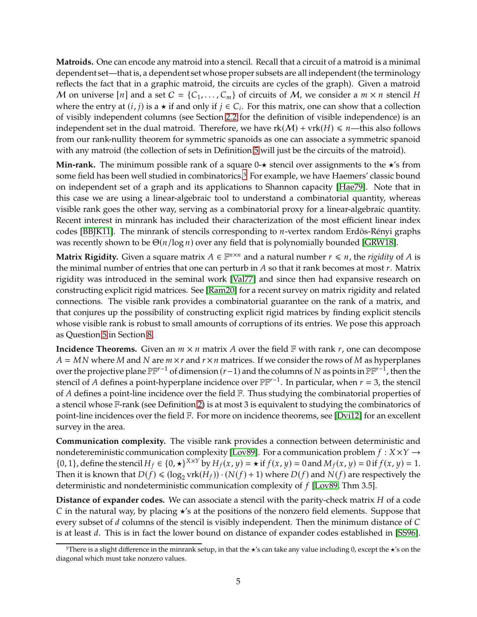**Matroids.** One can encode any matroid into a stencil. Recall that a circuit of a matroid is a minimal dependent set—that is, a dependent set whose proper subsets are all independent (the terminology reflects the fact that in a graphic matroid, the circuits are cycles of the graph). Given a matroid M on universe [n] and a set  $C = \{C_1, \ldots, C_m\}$  of circuits of M, we consider a  $m \times n$  stencil H where the entry at  $(i, j)$  is a  $\star$  if and only if  $j \in C_i$ . For this matrix, one can show that a collection of visibly independent columns (see Section [2.2](#page-7-0) for the definition of visible independence) is an independent set in the dual matroid. Therefore, we have  $rk(M) + vrk(H) \le n$ —this also follows from our rank-nullity theorem for symmetric spanoids as one can associate a symmetric spanoid with any matroid (the collection of sets in Definition [5](#page-9-1) will just be the circuits of the matroid).

**Min-rank.** The minimum possible rank of a square 0-★ stencil over assignments to the ★'s from some field has been well studied in combinatorics.<sup>[5](#page-5-0)</sup> For example, we have Haemers' classic bound on independent set of a graph and its applications to Shannon capacity [\[Hae79\]](#page-20-13). Note that in this case we are using a linear-algebraic tool to understand a combinatorial quantity, whereas visible rank goes the other way, serving as a combinatorial proxy for a linear-algebraic quantity. Recent interest in minrank has included their characterization of the most efficient linear index codes [\[BBJK11\]](#page-19-4). The minrank of stencils corresponding to  $n$ -vertex random Erdös-Rényi graphs was recently shown to be  $\Theta(n/\log n)$  over any field that is polynomially bounded [\[GRW18\]](#page-20-14).

**Matrix Rigidity.** Given a square matrix  $A \in \mathbb{F}^{n \times n}$  and a natural number  $r \leq n$ , the *rigidity* of  $A$  is the minimal number of entries that one can perturb in  $A$  so that it rank becomes at most  $r$ . Matrix rigidity was introduced in the seminal work [\[Val77\]](#page-21-7) and since then had expansive research on constructing explicit rigid matrices. See [\[Ram20\]](#page-21-8) for a recent survey on matrix rigidity and related connections. The visible rank provides a combinatorial guarantee on the rank of a matrix, and that conjures up the possibility of constructing explicit rigid matrices by finding explicit stencils whose visible rank is robust to small amounts of corruptions of its entries. We pose this approach as Question [5](#page-19-5) in Section [8.](#page-18-0)

**Incidence Theorems.** Given an  $m \times n$  matrix A over the field  $\mathbb{F}$  with rank  $r$ , one can decompose  $A = MN$  where M and N are  $m \times r$  and  $r \times n$  matrices. If we consider the rows of M as hyperplanes over the projective plane  $\mathbb{PF}^{r-1}$  of dimension  $(r-1)$  and the columns of N as points in  $\mathbb{PF}^{r-1}$ , then the stencil of A defines a point-hyperplane incidence over  $\mathbb{PF}^{r-1}$ . In particular, when  $r = 3$ , the stencil of  $A$  defines a point-line incidence over the field  $F$ . Thus studying the combinatorial properties of a stencil whose F-rank (see Definition [2\)](#page-6-0) is at most 3 is equivalent to studying the combinatorics of point-line incidences over the field F. For more on incidence theorems, see [\[Dvi12\]](#page-19-6) for an excellent survey in the area.

**Communication complexity.** The visible rank provides a connection between deterministic and nondetereministic communication complexity [\[Lov89\]](#page-20-15). For a communication problem  $f: X \times Y \rightarrow Y$ {0, 1}, define the stencil  $H_f \in \{0, \star\}^{X \times Y}$  by  $H_f(x, y) = \star$  if  $f(x, y) = 0$  and  $M_f(x, y) = 0$  if  $f(x, y) = 1$ . Then it is known that  $D(f) \leq (log_2 v \text{rk}(H_f)) \cdot (N(f) + 1)$  where  $D(f)$  and  $N(f)$  are respectively the deterministic and nondeterministic communication complexity of  $f$  [\[Lov89,](#page-20-15) Thm 3.5].

**Distance of expander codes.** We can associate a stencil with the parity-check matrix H of a code C in the natural way, by placing  $\star$ 's at the positions of the nonzero field elements. Suppose that every subset of  $d$  columns of the stencil is visibly independent. Then the minimum distance of  $C$ is at least *d*. This is in fact the lower bound on distance of expander codes established in [\[SS96\]](#page-21-9).

<span id="page-5-0"></span><sup>5</sup>There is a slight difference in the minrank setup, in that the  $\star$ 's can take any value including 0, except the  $\star$ 's on the diagonal which must take nonzero values.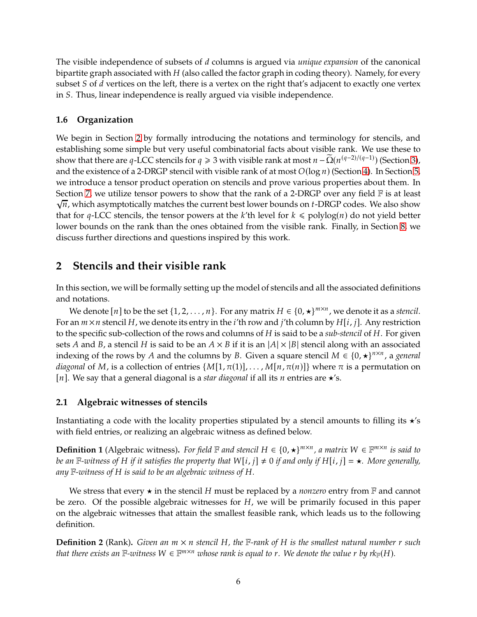The visible independence of subsets of d columns is argued via *unique expansion* of the canonical bipartite graph associated with  $H$  (also called the factor graph in coding theory). Namely, for every subset  $S$  of  $d$  vertices on the left, there is a vertex on the right that's adjacent to exactly one vertex in S. Thus, linear independence is really argued via visible independence.

## **1.6 Organization**

We begin in Section [2](#page-6-1) by formally introducing the notations and terminology for stencils, and establishing some simple but very useful combinatorial facts about visible rank. We use these to show that there are q-LCC stencils for  $q \ge 3$  with visible rank at most  $n - \tilde{\Omega}(n^{(q-2)/(q-1)})$  (Section [3\)](#page-10-1), and the existence of a 2-DRGP stencil with visible rank of at most  $O(\log n)$  (Section [4\)](#page-11-0). In Section [5,](#page-12-0) we introduce a tensor product operation on stencils and prove various properties about them. In Section [7,](#page-16-0) we utilize tensor powers to show that the rank of a 2-DRGP over any field  $\mathbb F$  is at least  $\sqrt{n}$ , which asymptotically matches the current best lower bounds on *t*-DRGP codes. We also show that for q-LCC stencils, the tensor powers at the k'th level for  $k \leq \text{polylog}(n)$  do not yield better lower bounds on the rank than the ones obtained from the visible rank. Finally, in Section [8,](#page-18-0) we discuss further directions and questions inspired by this work.

## <span id="page-6-1"></span>**2 Stencils and their visible rank**

In this section, we will be formally setting up the model of stencils and all the associated definitions and notations.

We denote  $[n]$  to be the set  $\{1, 2, ..., n\}$ . For any matrix  $H \in \{0, \star\}^{m \times n}$ , we denote it as a *stencil*. For an  $m \times n$  stencil H, we denote its entry in the *i*'th row and *j*'th column by  $H[i, j]$ . Any restriction to the specific sub-collection of the rows and columns of H is said to be a *sub-stencil* of H. For given sets A and B, a stencil H is said to be an  $A \times B$  if it is an  $|A| \times |B|$  stencil along with an associated indexing of the rows by A and the columns by B. Given a square stencil  $M \in \{0, \star\}^{n \times n}$ , a *general diagonal* of M, is a collection of entries  $\{M[1, \pi(1)], \ldots, M[n, \pi(n)]\}$  where  $\pi$  is a permutation on [ $n$ ]. We say that a general diagonal is a *star diagonal* if all its  $n$  entries are  $\star$ 's.

## **2.1 Algebraic witnesses of stencils**

Instantiating a code with the locality properties stipulated by a stencil amounts to filling its  $\star$ 's with field entries, or realizing an algebraic witness as defined below.

**Definition 1** (Algebraic witness). For field  $\mathbb F$  and stencil  $H \in \{0, \star\}^{m \times n}$ , a matrix  $W \in \mathbb F^{m \times n}$  is said to *be an*  $\mathbb{F}$ -witness of H if it satisfies the property that  $W[i, j] \neq 0$  if and only if  $H[i, j] = \star$ . More generally, *any* F*-witness of* 𝐻 *is said to be an algebraic witness of* 𝐻*.*

We stress that every  $\star$  in the stencil H must be replaced by a *nonzero* entry from  $\mathbb F$  and cannot be zero. Of the possible algebraic witnesses for  $H$ , we will be primarily focused in this paper on the algebraic witnesses that attain the smallest feasible rank, which leads us to the following definition.

<span id="page-6-0"></span>**Definition 2** (Rank). Given an  $m \times n$  stencil H, the F-rank of H is the smallest natural number r such *that there exists an*  $\mathbb{F}\text{-}w$ *itness*  $W \in \mathbb{F}^{m \times n}$  whose rank is equal to r. We denote the value r by rk<sub> $\mathbb{F}(H)$ *.*</sub>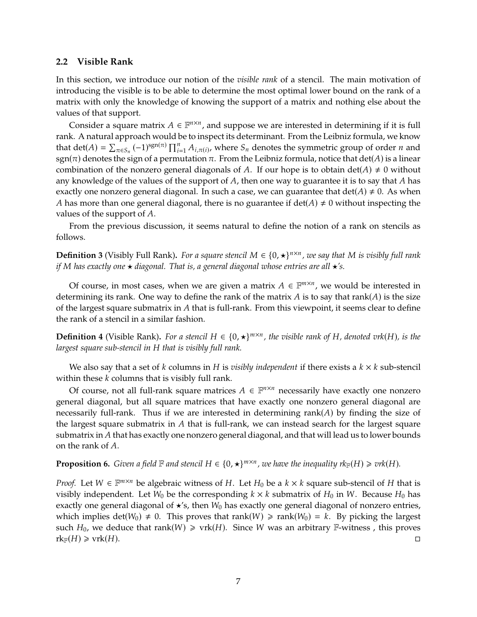#### <span id="page-7-0"></span>**2.2 Visible Rank**

In this section, we introduce our notion of the *visible rank* of a stencil. The main motivation of introducing the visible is to be able to determine the most optimal lower bound on the rank of a matrix with only the knowledge of knowing the support of a matrix and nothing else about the values of that support.

Consider a square matrix  $A \in \mathbb{F}^{n \times n}$ , and suppose we are interested in determining if it is full rank. A natural approach would be to inspect its determinant. From the Leibniz formula, we know that det( $A$ ) =  $\sum_{\pi \in S_n}$  (-1)<sup>sgn( $\pi$ )</sub>  $\prod_{i=1}^n A_{i,\pi(i)}$ , where  $S_n$  denotes the symmetric group of order  $n$  and</sup> sgn( $\pi$ ) denotes the sign of a permutation  $\pi$ . From the Leibniz formula, notice that det(A) is a linear combination of the nonzero general diagonals of A. If our hope is to obtain det( $A$ )  $\neq$  0 without any knowledge of the values of the support of  $A$ , then one way to guarantee it is to say that  $A$  has exactly one nonzero general diagonal. In such a case, we can guarantee that  $\det(A) \neq 0$ . As when A has more than one general diagonal, there is no guarantee if  $\det(A) \neq 0$  without inspecting the values of the support of  $A$ .

From the previous discussion, it seems natural to define the notion of a rank on stencils as follows.

**Definition 3** (Visibly Full Rank). For a square stencil  $M \in \{0, \star\}^{n \times n}$ , we say that M is visibly full rank *if* M has exactly one ★ *diagonal. That is, a general diagonal whose entries are all* ★*'s.* 

Of course, in most cases, when we are given a matrix  $A \in \mathbb{F}^{m \times n}$ , we would be interested in determining its rank. One way to define the rank of the matrix A is to say that rank( $A$ ) is the size of the largest square submatrix in  $A$  that is full-rank. From this viewpoint, it seems clear to define the rank of a stencil in a similar fashion.

**Definition 4** (Visible Rank). For a stencil  $H \in \{0, \star\}^{m \times n}$ , the visible rank of H, denoted vrk(H), is the *largest square sub-stencil in* H that is visibly full rank.

We also say that a set of  $k$  columns in  $H$  is *visibly independent* if there exists a  $k \times k$  sub-stencil within these  $k$  columns that is visibly full rank.

Of course, not all full-rank square matrices  $A \in \mathbb{F}^{n \times n}$  necessarily have exactly one nonzero general diagonal, but all square matrices that have exactly one nonzero general diagonal are necessarily full-rank. Thus if we are interested in determining rank $(A)$  by finding the size of the largest square submatrix in  $A$  that is full-rank, we can instead search for the largest square submatrix in  $A$  that has exactly one nonzero general diagonal, and that will lead us to lower bounds on the rank of  $A$ .

**Proposition 6.** Given a field  $\mathbb F$  and stencil  $H \in \{0, \star\}^{m \times n}$ , we have the inequality  $rk_{\mathbb F}(H) \geqslant \text{vrk}(H)$ .

*Proof.* Let  $W \in \mathbb{F}^{m \times n}$  be algebraic witness of  $H$ . Let  $H_0$  be a  $k \times k$  square sub-stencil of  $H$  that is visibly independent. Let  $W_0$  be the corresponding  $k \times k$  submatrix of  $H_0$  in W. Because  $H_0$  has exactly one general diagonal of  $\star$ 's, then  $W_0$  has exactly one general diagonal of nonzero entries, which implies det( $W_0$ )  $\neq$  0. This proves that rank( $W$ )  $\geq$  rank( $W_0$ ) = k. By picking the largest such  $H_0$ , we deduce that rank( $W$ )  $\geq$  vrk( $H$ ). Since W was an arbitrary  $\mathbb{F}\text{-witness}$ , this proves  $rk_{\mathbb{F}}(H) \geqslant \text{vrk}(H).$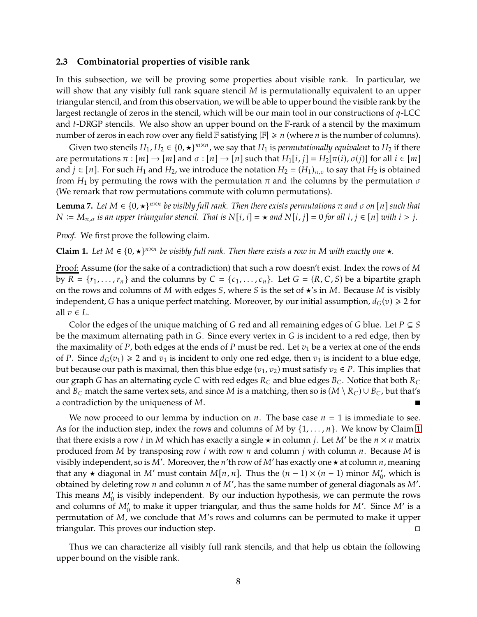#### <span id="page-8-0"></span>**2.3 Combinatorial properties of visible rank**

In this subsection, we will be proving some properties about visible rank. In particular, we will show that any visibly full rank square stencil  $M$  is permutationally equivalent to an upper triangular stencil, and from this observation, we will be able to upper bound the visible rank by the largest rectangle of zeros in the stencil, which will be our main tool in our constructions of  $q$ -LCC and  $t$ -DRGP stencils. We also show an upper bound on the  $F$ -rank of a stencil by the maximum number of zeros in each row over any field  $\mathbb F$  satisfying  $|\mathbb F| \geq n$  (where *n* is the number of columns).

Given two stencils  $H_1, H_2 \in \{0, \star\}^{m \times n}$ , we say that  $H_1$  is *permutationally equivalent* to  $H_2$  if there are permutations  $\pi : [m] \to [m]$  and  $\sigma : [n] \to [n]$  such that  $H_1[i, j] = H_2[\pi(i), \sigma(j)]$  for all  $i \in [m]$ and  $j \in [n]$ . For such  $H_1$  and  $H_2$ , we introduce the notation  $H_2 = (H_1)_{\pi,\sigma}$  to say that  $H_2$  is obtained from  $H_1$  by permuting the rows with the permutation  $\pi$  and the columns by the permutation  $\sigma$ (We remark that row permutations commute with column permutations).

<span id="page-8-2"></span>**Lemma 7.** Let  $M \in \{0, \star\}^{n \times n}$  be visibly full rank. Then there exists permutations  $\pi$  and  $\sigma$  on  $[n]$  such that  $N := M_{\pi,\sigma}$  is an upper triangular stencil. That is  $N[i, i] = \star$  and  $N[i, j] = 0$  for all  $i, j \in [n]$  with  $i > j$ .

*Proof.* We first prove the following claim.

<span id="page-8-1"></span>**Claim 1.** Let  $M \in \{0, \star\}^{n \times n}$  be visibly full rank. Then there exists a row in M with exactly one  $\star$ .

Proof: Assume (for the sake of a contradiction) that such a row doesn't exist. Index the rows of M by  $R = \{r_1, \ldots, r_n\}$  and the columns by  $C = \{c_1, \ldots, c_n\}$ . Let  $G = (R, C, S)$  be a bipartite graph on the rows and columns of  $M$  with edges  $S$ , where  $S$  is the set of  $\star$ 's in  $M$ . Because  $M$  is visibly independent, G has a unique perfect matching. Moreover, by our initial assumption,  $d_G(v) \ge 2$  for all  $v \in L$ .

Color the edges of the unique matching of G red and all remaining edges of G blue. Let  $P \subseteq S$ be the maximum alternating path in  $G$ . Since every vertex in  $G$  is incident to a red edge, then by the maximality of P, both edges at the ends of P must be red. Let  $v_1$  be a vertex at one of the ends of P. Since  $d_G(v_1) \ge 2$  and  $v_1$  is incident to only one red edge, then  $v_1$  is incident to a blue edge, but because our path is maximal, then this blue edge  $(v_1, v_2)$  must satisfy  $v_2 \in P$ . This implies that our graph G has an alternating cycle C with red edges  $R_C$  and blue edges  $B_C$ . Notice that both  $R_C$ and  $B_C$  match the same vertex sets, and since M is a matching, then so is  $(M \setminus R_C) \cup B_C$ , but that's a contradiction by the uniqueness of  $M$ .

We now proceed to our lemma by induction on  $n$ . The base case  $n = 1$  is immediate to see. As for the induction step, index the rows and columns of M by  $\{1, \ldots, n\}$ . We know by Claim [1](#page-8-1) that there exists a row *i* in M which has exactly a single  $\star$  in column *j*. Let M' be the  $n \times n$  matrix produced from M by transposing row *i* with row *n* and column *j* with column *n*. Because M is visibly independent, so is M'. Moreover, the *n'*th row of M' has exactly one  $\star$  at column *n*, meaning that any  $\star$  diagonal in M' must contain  $M[n, n]$ . Thus the  $(n - 1) \times (n - 1)$  minor  $M'_{0'}$ , which is obtained by deleting row  $n$  and column  $n$  of  $M'$ , has the same number of general diagonals as  $M'$ . This means  $M_0'$  is visibly independent. By our induction hypothesis, we can permute the rows and columns of  $M_{0}'$  to make it upper triangular, and thus the same holds for  $M'$ . Since  $M'$  is a permutation of  $M$ , we conclude that  $M$ 's rows and columns can be permuted to make it upper triangular. This proves our induction step.

Thus we can characterize all visibly full rank stencils, and that help us obtain the following upper bound on the visible rank.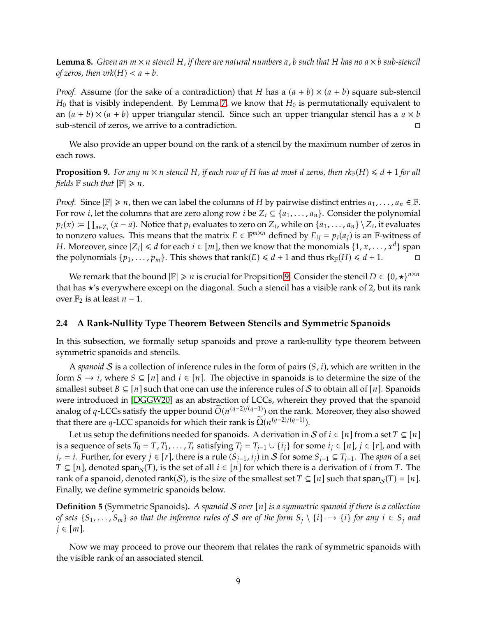<span id="page-9-3"></span>**Lemma 8.** *Given an*  $m \times n$  *stencil*  $H$ *, if there are natural numbers* a, *b such that*  $H$  *has no*  $a \times b$  *sub-stencil of zeros, then vrk* $(H) < a + b$ *.* 

*Proof.* Assume (for the sake of a contradiction) that H has a  $(a + b) \times (a + b)$  square sub-stencil  $H_0$  that is visibly independent. By Lemma [7,](#page-8-2) we know that  $H_0$  is permutationally equivalent to an  $(a + b) \times (a + b)$  upper triangular stencil. Since such an upper triangular stencil has a  $a \times b$ sub-stencil of zeros, we arrive to a contradiction.

We also provide an upper bound on the rank of a stencil by the maximum number of zeros in each rows.

<span id="page-9-2"></span>**Proposition 9.** For any  $m \times n$  stencil H, if each row of H has at most d zeros, then  $rk_{\mathbb{F}}(H) \leq d+1$  for all *fields*  $\mathbb{F}$  *such that*  $|\mathbb{F}| \ge n$ *.* 

*Proof.* Since  $|\mathbb{F}| \ge n$ , then we can label the columns of H by pairwise distinct entries  $a_1, \ldots, a_n \in \mathbb{F}$ . For row *i*, let the columns that are zero along row *i* be  $Z_i \subseteq \{a_1, \ldots, a_n\}$ . Consider the polynomial  $p_i(x) := \prod_{a \in Z_i} (x - a)$ . Notice that  $p_i$  evaluates to zero on  $Z_i$ , while on  $\{a_1, \ldots, a_n\} \setminus Z_i$ , it evaluates to nonzero values. This means that the matrix  $E \in \mathbb{F}^{m \times n}$  defined by  $E_{ij} = p_i(a_j)$  is an  $\mathbb{F}$ -witness of H. Moreover, since  $|Z_i| \le d$  for each  $i \in [m]$ , then we know that the monomials  $\{1, x, ..., x^d\}$  span the polynomials  $\{p_1, \ldots, p_m\}$ . This shows that rank( $E \le d + 1$  and thus  $rk_F(H) \le d + 1$ .

We remark that the bound  $|\mathbb{F}| \geq n$  is crucial for Propsition [9.](#page-9-2) Consider the stencil  $D \in \{0, \star\}^{n \times n}$ that has  $\star$ 's everywhere except on the diagonal. Such a stencil has a visible rank of 2, but its rank over  $\mathbb{F}_2$  is at least *n* − 1.

#### <span id="page-9-0"></span>**2.4 A Rank-Nullity Type Theorem Between Stencils and Symmetric Spanoids**

In this subsection, we formally setup spanoids and prove a rank-nullity type theorem between symmetric spanoids and stencils.

A *spanoid* S is a collection of inference rules in the form of pairs  $(S, i)$ , which are written in the form  $S \to i$ , where  $S \subseteq [n]$  and  $i \in [n]$ . The objective in spanoids is to determine the size of the smallest subset  $B \subseteq [n]$  such that one can use the inference rules of S to obtain all of [n]. Spanoids were introduced in [\[DGGW20\]](#page-19-0) as an abstraction of LCCs, wherein they proved that the spanoid analog of q-LCCs satisfy the upper bound  $\tilde{O}(n^{(q-2)/(q-1)})$  on the rank. Moreover, they also showed that there are q-LCC spanoids for which their rank is  $\Omega(n^{(q-2)/(q-1)})$ .

Let us setup the definitions needed for spanoids. A derivation in S of  $i \in [n]$  from a set  $T \subseteq [n]$ is a sequence of sets  $T_0 = T$ ,  $T_1, \ldots, T_r$  satisfying  $T_i = T_{i-1} \cup \{i_i\}$  for some  $i_i \in [n]$ ,  $i \in [r]$ , and with  $i_r = i$ . Further, for every  $j \in [r]$ , there is a rule  $(S_{j-1}, i_j)$  in  $S$  for some  $S_{j-1} \subseteq T_{j-1}$ . The *span* of a set  $T \subseteq [n]$ , denoted span<sub>s</sub> $(T)$ , is the set of all  $i \in [n]$  for which there is a derivation of i from T. The rank of a spanoid, denoted rank(S), is the size of the smallest set  $T \subseteq [n]$  such that span $\mathcal{S}(T) = [n]$ . Finally, we define symmetric spanoids below.

<span id="page-9-1"></span>**Definition 5** (Symmetric Spanoids). A spanoid S over  $[n]$  is a symmetric spanoid if there is a collection *of sets*  $\{S_1, \ldots, S_m\}$  *so that the inference rules of S* are *of the form*  $S_i \setminus \{i\} \to \{i\}$  *for any*  $i \in S_i$  *and*  $j \in [m]$ .

Now we may proceed to prove our theorem that relates the rank of symmetric spanoids with the visible rank of an associated stencil.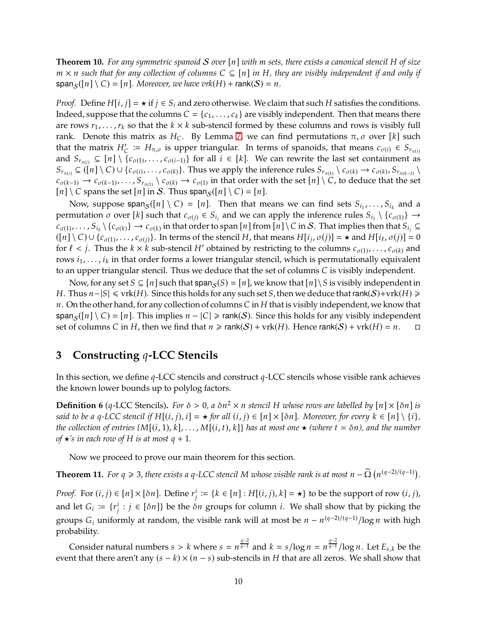<span id="page-10-0"></span>**Theorem 10.** For any symmetric spanoid S over  $[n]$  with m sets, there exists a canonical stencil H of size *m* × *n* such that for any collection of columns C ⊆ [n] in H, they are visibly independent if and only if  $\text{span}_{S}([n] \setminus C) = [n]$ *. Moreover, we have vrk* $(H) + \text{rank}(S) = n$ *.* 

*Proof.* Define  $H[i, j] = \star$  if  $j \in S_i$  and zero otherwise. We claim that such H satisfies the conditions. Indeed, suppose that the columns  $C = \{c_1, \ldots, c_k\}$  are visibly independent. Then that means there are rows  $r_1, \ldots, r_k$  so that the  $k \times k$  sub-stencil formed by these columns and rows is visibly full rank. Denote this matrix as  $H_C$ . By Lemma [7,](#page-8-2) we can find permutations  $\pi$ ,  $\sigma$  over [k] such that the matrix  $H'_{\mathcal{C}} := H_{\pi,\sigma}$  is upper triangular. In terms of spanoids, that means  $c_{\sigma(i)} \in S_{r_{\pi(i)}}$ and  $S_{r_{\pi(i)}} \subseteq [n] \setminus \{c_{\sigma(1)}, \ldots, c_{\sigma(i-1)}\}$  for all  $i \in [k]$ . We can rewrite the last set containment as  $S_{r_{\pi(i)}} \subseteq (\lfloor n \rfloor \setminus C) \cup \{c_{\sigma(i)}, \ldots, c_{\sigma(k)}\}$ . Thus we apply the inference rules  $S_{r_{\pi(k)}} \setminus c_{\sigma(k)} \to c_{\sigma(k)}, S_{r_{\pi(k-1)}} \setminus c_{\sigma(k)}$  $c_{\sigma(k-1)} \to c_{\sigma(k-1)}, \ldots, S_{r_{\pi(1)}} \setminus c_{\sigma(k)} \to c_{\sigma(1)}$  in that order with the set  $[n] \setminus C$ , to deduce that the set  $[n] \setminus C$  spans the set  $[n]$  in S. Thus span<sub>S</sub>( $[n] \setminus C$ ) =  $[n]$ .

Now, suppose span<sub>S</sub>([n] \ C) = [n]. Then that means we can find sets  $S_{i_1}, \ldots, S_{i_k}$  and a permutation  $\sigma$  over [ $k$ ] such that  $c_{\sigma(j)} \in S_{i_j}$  and we can apply the inference rules  $S_{i_1} \setminus \{c_{\sigma(1)}\} \to$  $c_{\sigma(1)},\ldots,s_{i_k}\setminus\{c_{\sigma(k)}\}\to c_{\sigma(k)}$  in that order to span [n] from [n] \ C in S. That implies then that  $S_{i_j}\subseteq$  $([n] \setminus C) \cup \{c_{\sigma(1)}, \ldots, c_{\sigma(j)}\}$ . In terms of the stencil H, that means  $H[i_j, \sigma(j)] = \star$  and  $H[i_\ell, \sigma(j)] = 0$ for  $\ell < j$ . Thus the  $k \times k$  sub-stencil H' obtained by restricting to the columns  $c_{\sigma(1)}, \ldots, c_{\sigma(k)}$  and rows  $i_1, \ldots, i_k$  in that order forms a lower triangular stencil, which is permutationally equivalent to an upper triangular stencil. Thus we deduce that the set of columns  $C$  is visibly independent.

Now, for any set  $S \subseteq [n]$  such that span<sub>S</sub> $(S) = [n]$ , we know that  $[n] \setminus S$  is visibly independent in *H*. Thus  $n-|S| \leq$  vrk(*H*). Since this holds for any such set *S*, then we deduce that rank(*S*)+vrk(*H*) ≥ n. On the other hand, for any collection of columns C in H that is visibly independent, we know that span<sub>S</sub>([n] \ C) = [n]. This implies  $n - |C| \ge rank(S)$ . Since this holds for any visibly independent set of columns C in H, then we find that  $n \ge rank(S) + \text{vrk}(H)$ . Hence rank(S) +  $\text{vrk}(H) = n$ . set of columns C in H, then we find that  $n \geqslant rank(S) + vrk(H)$ . Hence rank $(S) + vrk(H) = n$ .

## <span id="page-10-1"></span>**3** Constructing *q*-LCC Stencils

In this section, we define  $q$ -LCC stencils and construct  $q$ -LCC stencils whose visible rank achieves the known lower bounds up to polylog factors.

**Definition 6** (q-LCC Stencils). For  $\delta > 0$ , a  $\delta n^2 \times n$  stencil H whose rows are labelled by  $[n] \times [\delta n]$  is *said to be a q-LCC stencil if*  $H[(i, j), i] = \star$  *for all*  $(i, j) \in [n] \times [\delta n]$ *. Moreover, for every*  $k \in [n] \setminus \{i\}$ *, the collection of entries {M*[(*i*, 1), *k*], ..., *M*[(*i*, *t*), *k*]} *has at most one*  $\star$  (*where t* =  $\delta$ *n*), *and the number of*  $\star$ *'s in each row of* H *is at most*  $q + 1$ *.* 

Now we proceed to prove our main theorem for this section.

<span id="page-10-2"></span>**Theorem 11.** For  $q \ge 3$ , there exists a  $q$ -LCC stencil M whose visible rank is at most  $n - \tilde{\Omega}(n^{(q-2)/(q-1)})$ .

*Proof.* For  $(i, j) \in [n] \times [\delta n]$ . Define  $r_j^i := \{k \in [n] : H[(i, j), k] = \star\}$  to be the support of row  $(i, j)$ , and let  $G_i := \{r_j^i\}$  $\{i : j \in [\delta n]\}$  be the  $\delta n$  groups for column  $i$ . We shall show that by picking the groups  $G_i$  uniformly at random, the visible rank will at most be  $n - n^{(q-2)/(q-1)}/\log n$  with high probability.

Consider natural numbers  $s > k$  where  $s = n^{\frac{q-2}{q-1}}$  and  $k = s/\log n = n^{\frac{q-2}{q-1}}/\log n$ . Let  $E_{s,k}$  be the event that there aren't any  $(s - k) \times (n - s)$  sub-stencils in H that are all zeros. We shall show that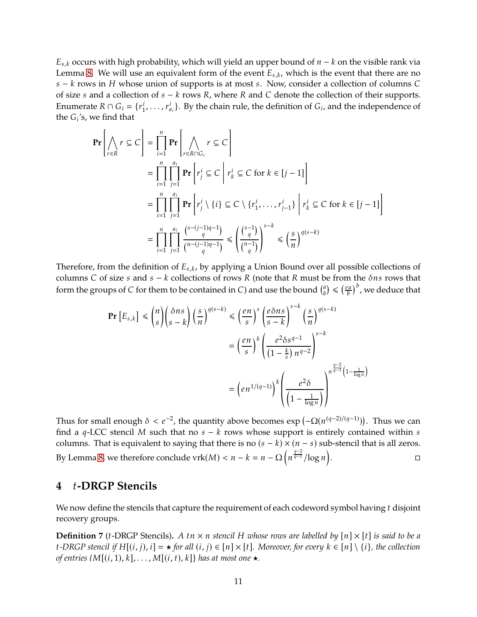$E_{s,k}$  occurs with high probability, which will yield an upper bound of  $n - k$  on the visible rank via Lemma [8.](#page-9-3) We will use an equivalent form of the event  $E_{s,k}$ , which is the event that there are no  $s - k$  rows in  $H$  whose union of supports is at most  $s$ . Now, consider a collection of columns  $C$ of size  $s$  and a collection of  $s - k$  rows  $R$ , where  $R$  and  $C$  denote the collection of their supports. Enumerate  $R \cap G_i = \{r_1^i\}$  $i_1, \ldots, r_{a_i}^i$ . By the chain rule, the definition of  $G_i$ , and the independence of the  $G_i$ 's, we find that

$$
\begin{split}\n\mathbf{Pr}\left[\bigwedge_{r\in R} r \subseteq C\right] &= \prod_{i=1}^{n} \mathbf{Pr}\left[\bigwedge_{r\in R\cap G_i} r \subseteq C\right] \\
&= \prod_{i=1}^{n} \prod_{j=1}^{a_i} \mathbf{Pr}\left[r_j^i \subseteq C \mid r_k^i \subseteq C \text{ for } k \in [j-1]\right] \\
&= \prod_{i=1}^{n} \prod_{j=1}^{a_i} \mathbf{Pr}\left[r_j^i \setminus \{i\} \subseteq C \setminus \{r_1^i, \dots, r_{j-1}^i\} \mid r_k^i \subseteq C \text{ for } k \in [j-1]\right] \\
&= \prod_{i=1}^{n} \prod_{j=1}^{a_i} \frac{\binom{s-(j-1)q-1}{q}}{\binom{n-(j-1)q-1}{q}} \leq \left(\frac{\binom{s-1}{q}}{\binom{n-1}{q}}\right)^{s-k} \leq \left(\frac{s}{n}\right)^{q(s-k)}\n\end{split}
$$

Therefore, from the definition of  $E_{s,k}$ , by applying a Union Bound over all possible collections of columns C of size  $s$  and  $s - k$  collections of rows R (note that R must be from the  $\delta$ ns rows that form the groups of C for them to be contained in C) and use the bound  $\binom{a}{b}$  $\binom{a}{b} \leqslant \left(\frac{ea}{b}\right)$  $\left(\frac{ca}{b}\right)^b$  , we deduce that

$$
\begin{split} \Pr\left[E_{s,k}\right] &\leq \binom{n}{s} \binom{\delta ns}{s-k} \left(\frac{s}{n}\right)^{q(s-k)} \leq \left(\frac{en}{s}\right)^s \left(\frac{e\delta ns}{s-k}\right)^{s-k} \left(\frac{s}{n}\right)^{q(s-k)} \\ &= \left(\frac{en}{s}\right)^k \left(\frac{e^2\delta s^{q-1}}{(1-\frac{k}{s})n^{q-2}}\right)^{s-k} \\ &= \left(en^{1/(q-1)}\right)^k \left(\frac{e^2\delta}{\left(1-\frac{1}{\log n}\right)}\right)^{n^{\frac{q-2}{q-1}} \left(1-\frac{1}{\log n}\right)} \end{split}
$$

Í

Thus for small enough  $\delta < e^{-2}$ , the quantity above becomes  $\exp(-\Omega(n^{(q-2)/(q-1)}))$ . Thus we can find a  $q$ -LCC stencil M such that no  $s - k$  rows whose support is entirely contained within  $s$ columns. That is equivalent to saying that there is no  $(s - k) \times (n - s)$  sub-stencil that is all zeros. By Lemma [8,](#page-9-3) we therefore conclude  $vrk(M) < n - k = n - \Omega\left(n^{\frac{q-2}{q-1}}/\log n\right)$  $\overline{ }$ . В последните последните и производите в село в село в село в село в село в село в село в село в село в село <br>В село в село в село в село в село в село в село в село в село в село в село в село в село в село в село в сел

## <span id="page-11-0"></span>**4** 𝑡**-DRGP Stencils**

We now define the stencils that capture the requirement of each codeword symbol having  $t$  disjoint recovery groups.

**Definition 7** (*t*-DRGP Stencils). A tn  $\times$  *n* stencil H whose rows are labelled by  $[n] \times [t]$  is said to be a *t*-DRGP stencil if  $H[(i, j), i] = \star$  for all  $(i, j) \in [n] \times [t]$ . Moreover, for every  $k \in [n] \setminus \{i\}$ , the collection *of entries {* $M[(i,1), k], \ldots, M[(i, t), k]$ } has at most one  $\star$ .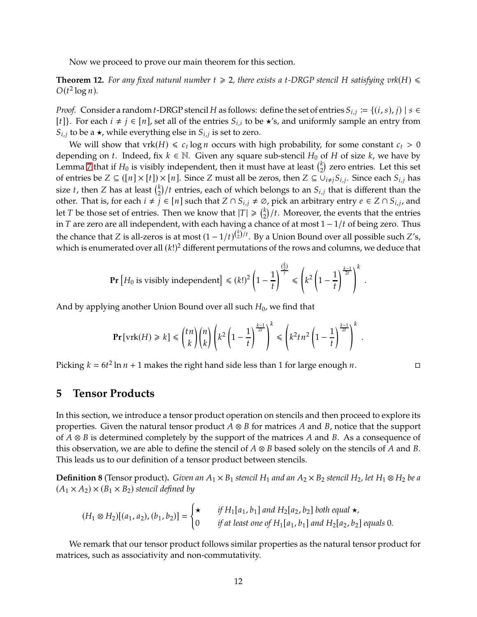Now we proceed to prove our main theorem for this section.

**Theorem 12.** For any fixed natural number  $t \geq 2$ , there exists a t-DRGP stencil H satisfying  $\text{vrk}(H) \leq$  $O(t^2 \log n)$ .

*Proof.* Consider a random *t*-DRGP stencil *H* as follows: define the set of entries  $S_{i,j} := \{(i, s), j\} \mid s \in$ [*t*]}. For each  $i \neq j \in [n]$ , set all of the entries  $S_{i,i}$  to be  $\star$ 's, and uniformly sample an entry from  $S_{i,j}$  to be a  $\star$ , while everything else in  $S_{i,j}$  is set to zero.

We will show that  $\text{vrk}(H) \leq c_t \log n$  occurs with high probability, for some constant  $c_t > 0$ depending on *t*. Indeed, fix  $k \in \mathbb{N}$ . Given any square sub-stencil  $H_0$  of H of size k, we have by Lemma [7](#page-8-2) that if  $H_0$  is visibly independent, then it must have at least  $\binom{k}{2}$  $\binom{k}{2}$  zero entries. Let this set of entries be  $Z \subseteq (\{n\} \times \{t\}) \times [n]$ . Since  $Z$  must all be zeros, then  $Z \subseteq \bigcup_{i \neq j} S_{i,j}$ . Since each  $S_{i,j}$  has size *t*, then Z has at least  $\binom{k}{2}$  $\binom{k}{2}/t$  entries, each of which belongs to an  $S_{i,j}$  that is different than the other. That is, for each  $i \neq j \in [n]$  such that  $Z \cap S_{i,j} \neq \emptyset$ , pick an arbitrary entry  $e \in Z \cap S_{i,j}$ , and let *T* be those set of entries. Then we know that  $|T| \geq \binom{k}{2}$  $\binom{k}{2}$ /t. Moreover, the events that the entries in T are zero are all independent, with each having a chance of at most  $1 - 1/t$  of being zero. Thus the chance that Z is all-zeros is at most  $(1 - 1/t)^{(\frac{k}{2})/t}$ . By a Union Bound over all possible such Z's, which is enumerated over all  $(k!)^2$  different permutations of the rows and columns, we deduce that

$$
\Pr\left[H_0 \text{ is visibility independent}\right] \leq (k!)^2 \left(1 - \frac{1}{t}\right)^{\frac{\left(\frac{k}{2}\right)}{t}} \leq \left(k^2 \left(1 - \frac{1}{t}\right)^{\frac{k-1}{2t}}\right)^k
$$

And by applying another Union Bound over all such  $H_0$ , we find that

$$
\Pr[\text{vrk}(H) \ge k] \le {tn \choose k} {n \choose k} \left(k^2 \left(1 - \frac{1}{t}\right)^{\frac{k-1}{2t}}\right)^k \le \left(k^2 t n^2 \left(1 - \frac{1}{t}\right)^{\frac{k-1}{2t}}\right)^k.
$$

Picking  $k = 6t^2 \ln n + 1$  makes the right hand side less than 1 for large enough *n*.

.

## <span id="page-12-0"></span>**5 Tensor Products**

In this section, we introduce a tensor product operation on stencils and then proceed to explore its properties. Given the natural tensor product  $A \otimes B$  for matrices A and B, notice that the support of  $A \otimes B$  is determined completely by the support of the matrices  $A$  and  $B$ . As a consequence of this observation, we are able to define the stencil of  $A \otimes B$  based solely on the stencils of A and B. This leads us to our definition of a tensor product between stencils.

**Definition 8** (Tensor product). *Given an*  $A_1 \times B_1$  *stencil*  $H_1$  *and an*  $A_2 \times B_2$  *stencil*  $H_2$ *, let*  $H_1 \otimes H_2$  *be a*  $(A_1 \times A_2) \times (B_1 \times B_2)$  *stencil defined by* 

$$
(H_1 \otimes H_2)[(a_1, a_2), (b_1, b_2)] = \begin{cases} \star & \text{if } H_1[a_1, b_1] \text{ and } H_2[a_2, b_2] \text{ both equal } \star, \\ 0 & \text{if at least one of } H_1[a_1, b_1] \text{ and } H_2[a_2, b_2] \text{ equals 0.} \end{cases}
$$

We remark that our tensor product follows similar properties as the natural tensor product for matrices, such as associativity and non-commutativity.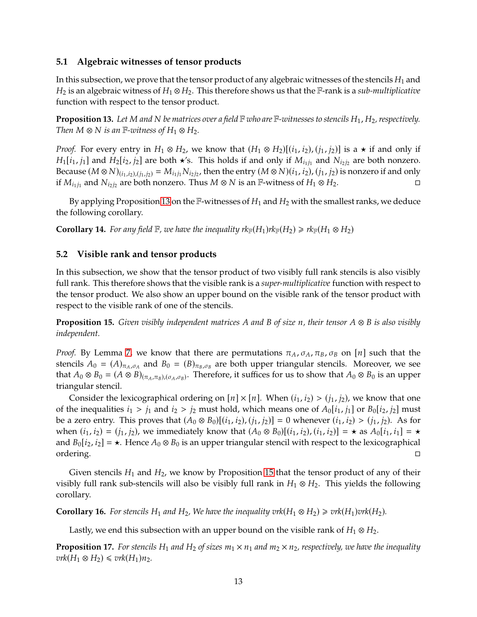## **5.1 Algebraic witnesses of tensor products**

In this subsection, we prove that the tensor product of any algebraic witnesses of the stencils  $H_1$  and  $H_2$  is an algebraic witness of  $H_1 \otimes H_2$ . This therefore shows us that the F-rank is a *sub-multiplicative* function with respect to the tensor product.

<span id="page-13-0"></span>**Proposition 13.** Let M and N be matrices over a field  $\mathbb F$  who are  $\mathbb F$ -witnesses to stencils  $H_1$ ,  $H_2$ , respectively. *Then*  $M \otimes N$  *is an*  $\mathbb{F}$ *-witness of*  $H_1 \otimes H_2$ *.* 

*Proof.* For every entry in  $H_1 \otimes H_2$ , we know that  $(H_1 \otimes H_2)[(i_1, i_2), (j_1, j_2)]$  is a  $\star$  if and only if  $H_1[i_1, j_1]$  and  $H_2[i_2, j_2]$  are both  $\star$ 's. This holds if and only if  $M_{i_1j_1}$  and  $N_{i_2j_2}$  are both nonzero. Because  $(M \otimes N)_{(i_1,i_2),(j_1,j_2)} = M_{i_1j_1} N_{i_2j_2}$ , then the entry  $(M \otimes N)(i_1,i_2)$ ,  $(j_1,j_2)$  is nonzero if and only if  $M_{i_1j_1}$  and  $N_{i_2j_2}$  are both nonzero. Thus  $M \otimes N$  is an F-witness of  $H_1 \otimes H_2$ .

By applying Proposition [13](#page-13-0) on the F-witnesses of  $H_1$  and  $H_2$  with the smallest ranks, we deduce the following corollary.

**Corollary 14.** *For any field*  $\mathbb{F}$ *, we have the inequality*  $rk_{\mathbb{F}}(H_1)rk_{\mathbb{F}}(H_2) \geqslant rk_{\mathbb{F}}(H_1 \otimes H_2)$ 

## **5.2 Visible rank and tensor products**

In this subsection, we show that the tensor product of two visibly full rank stencils is also visibly full rank. This therefore shows that the visible rank is a *super-multiplicative* function with respect to the tensor product. We also show an upper bound on the visible rank of the tensor product with respect to the visible rank of one of the stencils.

<span id="page-13-1"></span>**Proposition 15.** *Given visibly independent matrices* A and B of size n, their tensor  $A \otimes B$  is also visibly *independent.*

*Proof.* By Lemma [7,](#page-8-2) we know that there are permutations  $\pi_A$ ,  $\sigma_A$ ,  $\pi_B$ ,  $\sigma_B$  on [n] such that the stencils  $A_0 = (A)_{\pi_A, \sigma_A}$  and  $B_0 = (B)_{\pi_B, \sigma_B}$  are both upper triangular stencils. Moreover, we see that  $A_0 \otimes B_0 = (A \otimes B)_{(\pi_A, \pi_B),(\sigma_A, \sigma_B)}$ . Therefore, it suffices for us to show that  $A_0 \otimes B_0$  is an upper triangular stencil.

Consider the lexicographical ordering on  $[n] \times [n]$ . When  $(i_1, i_2) > (i_1, i_2)$ , we know that one of the inequalities  $i_1 > j_1$  and  $i_2 > j_2$  must hold, which means one of  $A_0[i_1, j_1]$  or  $B_0[i_2, j_2]$  must be a zero entry. This proves that  $(A_0 \otimes B_0)[(i_1, i_2), (j_1, j_2)] = 0$  whenever  $(i_1, i_2) > (j_1, j_2)$ . As for when  $(i_1, i_2) = (j_1, j_2)$ , we immediately know that  $(A_0 \otimes B_0)[(i_1, i_2), (i_1, i_2)] = \star$  as  $A_0[i_1, i_1] = \star$ and  $B_0[i_2, i_2] = \star$ . Hence  $A_0 \otimes B_0$  is an upper triangular stencil with respect to the lexicographical ordering. ordering.

Given stencils  $H_1$  and  $H_2$ , we know by Proposition [15](#page-13-1) that the tensor product of any of their visibly full rank sub-stencils will also be visibly full rank in  $H_1 \otimes H_2$ . This yields the following corollary.

**Corollary 16.** For stencils  $H_1$  and  $H_2$ , We have the inequality vrk( $H_1 \otimes H_2$ )  $\geq$  vrk( $H_1$ ) $v$ rk( $H_2$ ).

Lastly, we end this subsection with an upper bound on the visible rank of  $H_1 \otimes H_2$ .

**Proposition 17.** *For stencils*  $H_1$  *and*  $H_2$  *of sizes*  $m_1 \times n_1$  *and*  $m_2 \times n_2$ *, respectively, we have the inequality*  $vrk(H_1 \otimes H_2) \leq vrk(H_1)n_2$ .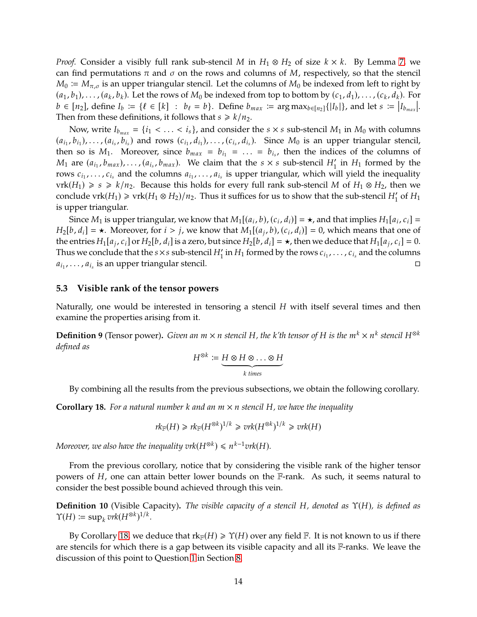*Proof.* Consider a visibly full rank sub-stencil *M* in  $H_1 \otimes H_2$  of size  $k \times k$ . By Lemma [7,](#page-8-2) we can find permutations  $\pi$  and  $\sigma$  on the rows and columns of M, respectively, so that the stencil  $M_0 \coloneqq M_{\pi,\sigma}$  is an upper triangular stencil. Let the columns of  $M_0$  be indexed from left to right by  $(a_1, b_1), \ldots, (a_k, b_k)$ . Let the rows of  $M_0$  be indexed from top to bottom by  $(c_1, d_1), \ldots, (c_k, d_k)$ . For  $b \in [n_2]$ , define  $I_b := \{l \in [k] : b_l = b\}$ . Define  $b_{max} := \arg \max_{b \in [n_2]} \{|I_b|\}$ , and let  $s := |I_{b_{max}}|$ . Then from these definitions, it follows that  $s \geq k/n_2$ .

Now, write  $I_{b_{max}} = \{i_1 < \ldots < i_s\}$ , and consider the  $s \times s$  sub-stencil  $M_1$  in  $M_0$  with columns  $(a_{i_1}, b_{i_1}), \ldots, (a_{i_s}, b_{i_s})$  and rows  $(c_{i_1}, d_{i_1}), \ldots, (c_{i_s}, d_{i_s})$ . Since  $M_0$  is an upper triangular stencil, then so is  $M_1$ . Moreover, since  $b_{max} = b_{i_1} = \ldots = b_{i_s}$ , then the indices of the columns of  $M_1$  are  $(a_{i_1}, b_{max}), \ldots, (a_{i_s}, b_{max})$ . We claim that the  $s \times s$  sub-stencil  $H'_1$  in  $H_1$  formed by the rows  $c_{i_1}, \ldots, c_{i_s}$  and the columns  $a_{i_1}, \ldots, a_{i_s}$  is upper triangular, which will yield the inequality vrk( $H_1$ ) ≥ s ≥  $k/n_2$ . Because this holds for every full rank sub-stencil M of  $H_1 \otimes H_2$ , then we conclude  $\text{vrk}(H_1) \geq \text{vrk}(H_1 \otimes H_2)/n_2$ . Thus it suffices for us to show that the sub-stencil  $H'_1$  of  $H_1$ is upper triangular.

Since  $M_1$  is upper triangular, we know that  $M_1[(a_i, b), (c_i, d_i)] = \star$ , and that implies  $H_1[a_i, c_i] =$  $H_2[b, d_i] = \star$ . Moreover, for  $i > j$ , we know that  $M_1[(a_j, b), (c_i, d_i)] = 0$ , which means that one of the entries  $H_1[a_j, c_i]$  or  $H_2[b, d_i]$  is a zero, but since  $H_2[b, d_i] = \star$ , then we deduce that  $H_1[a_j, c_i] = 0$ . Thus we conclude that the  $s\times s$  sub-stencil  $H_1'$  in  $H_1$  formed by the rows  $c_{i_1},\ldots,c_{i_s}$  and the columns  $a_{i_1}, \ldots, a_{i_s}$  is an upper triangular stencil.

#### **5.3 Visible rank of the tensor powers**

Naturally, one would be interested in tensoring a stencil  $H$  with itself several times and then examine the properties arising from it.

**Definition 9** (Tensor power). *Given an*  $m \times n$  stencil H, the k'th tensor of H is the  $m^k \times n^k$  stencil H<sup>⊗k</sup> *defined as*

$$
H^{\otimes k} \coloneqq \underbrace{H \otimes H \otimes \ldots \otimes H}_{k \text{ times}}
$$

By combining all the results from the previous subsections, we obtain the following corollary.

<span id="page-14-0"></span>**Corollary 18.** For a natural number k and an  $m \times n$  stencil H, we have the inequality

$$
rk_{\mathbb{F}}(H) \geqslant rk_{\mathbb{F}}(H^{\otimes k})^{1/k} \geqslant vrk(H^{\otimes k})^{1/k} \geqslant vrk(H)
$$

*Moreover, we also have the inequality*  $\text{vrk}(H^{\otimes k}) \leq n^{k-1} \text{vrk}(H)$ *.* 

From the previous corollary, notice that by considering the visible rank of the higher tensor powers of  $H$ , one can attain better lower bounds on the  $\mathbb{F}$ -rank. As such, it seems natural to consider the best possible bound achieved through this vein.

**Definition 10** (Visible Capacity). *The visible capacity of a stencil H, denoted as*  $\Upsilon(H)$ *, is defined as*  $\Upsilon(H) \coloneqq \sup_k v \kappa(H^{\otimes k})^{1/k}.$ 

By Corollary [18,](#page-14-0) we deduce that  $rk_{\mathbb{F}}(H) \ge \Upsilon(H)$  over any field  $\mathbb{F}$ . It is not known to us if there are stencils for which there is a gap between its visible capacity and all its F-ranks. We leave the discussion of this point to Question [1](#page-18-1) in Section [8.](#page-18-0)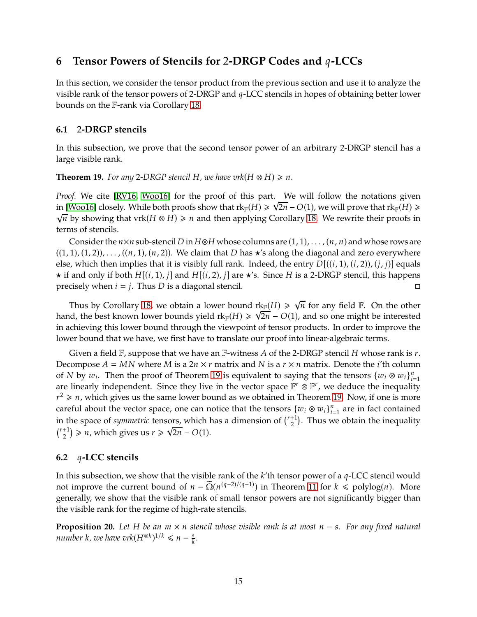## **6** Tensor Powers of Stencils for 2-DRGP Codes and  $q$ -LCCs

In this section, we consider the tensor product from the previous section and use it to analyze the visible rank of the tensor powers of 2-DRGP and  $q$ -LCC stencils in hopes of obtaining better lower bounds on the F-rank via Corollary [18.](#page-14-0)

## **6.1** 2**-DRGP stencils**

In this subsection, we prove that the second tensor power of an arbitrary 2-DRGP stencil has a large visible rank.

<span id="page-15-0"></span>**Theorem 19.** *For any* 2-DRGP stencil H, we have  $\text{vrk}(H \otimes H) \geq n$ .

*Proof.* We cite [\[RV16,](#page-21-4) [Woo16\]](#page-21-3) for the proof of this part. We will follow the notations given in [\[Woo16\]](#page-21-3) closely. While both proofs show that  $rk_{\mathbb{F}}(H) \ge \sqrt{2n} - O(1)$ , we will prove that  $rk_{\mathbb{F}}(H) \ge$  $\sqrt{n}$  by showing that vrk $(H \otimes H) \ge n$  and then applying Corollary [18.](#page-14-0) We rewrite their proofs in terms of stencils.

Consider the  $n \times n$  sub-stencil D in H⊗H whose columns are  $(1, 1), \ldots, (n, n)$  and whose rows are  $((1, 1), (1, 2)), \ldots, ((n, 1), (n, 2)).$  We claim that D has  $\star$ 's along the diagonal and zero everywhere else, which then implies that it is visibly full rank. Indeed, the entry  $D[(i,1), (i,2), (j,i)]$  equals  $\star$  if and only if both  $H[(i,1), j]$  and  $H[(i,2), j]$  are  $\star$ 's. Since H is a 2-DRGP stencil, this happens precisely when  $i = j$ . Thus D is a diagonal stencil.

Thus by Corollary [18,](#page-14-0) we obtain a lower bound  $rk_{\mathbb{F}}(H) \geq \sqrt{n}$  for any field  $\mathbb{F}$ . On the other hand, the best known lower bounds yield  $rk_F(H) \geq \sqrt{2n- O(1)}$ , and so one might be interested in achieving this lower bound through the viewpoint of tensor products. In order to improve the lower bound that we have, we first have to translate our proof into linear-algebraic terms.

Given a field  $\mathbb F$ , suppose that we have an  $\mathbb F$ -witness A of the 2-DRGP stencil H whose rank is r. Decompose  $A = MN$  where M is a  $2n \times r$  matrix and N is a  $r \times n$  matrix. Denote the *i*'th column of N by  $w_i$ . Then the proof of Theorem [19](#page-15-0) is equivalent to saying that the tensors  $\{w_i \otimes w_i\}_{i=1}^n$ are linearly independent. Since they live in the vector space  $\mathbb{F}^r \otimes \mathbb{F}^r$ , we deduce the inequality  $r^2 \geqslant n$ , which gives us the same lower bound as we obtained in Theorem [19.](#page-15-0) Now, if one is more careful about the vector space, one can notice that the tensors  ${w_i \otimes w_i}_{i=1}^n$  are in fact contained in the space of *symmetric* tensors, which has a dimension of  $\binom{r+1}{2}$ . Thus we obtain the inequality  ${\binom{r+1}{2}} \geq n$ , which gives us  $r \geq \sqrt{2n} - O(1)$ .

## **6.2** *q*-LCC stencils

In this subsection, we show that the visible rank of the  $k$ 'th tensor power of a  $q$ -LCC stencil would not improve the current bound of  $n - \tilde{\Omega}(n^{(q-2)/(q-1)})$  in Theorem [11](#page-10-2) for  $k \leq \text{polylog}(n)$ . More generally, we show that the visible rank of small tensor powers are not significantly bigger than the visible rank for the regime of high-rate stencils.

<span id="page-15-1"></span>**Proposition 20.** *Let H be an m* × *n* stencil whose visible rank is at most *n* − *s*. For any fixed natural  $n$ umber  $k$ , we have vrk $(H^{\otimes k})^{1/k} \leqslant n - \frac{S}{k}$ 𝑘 *.*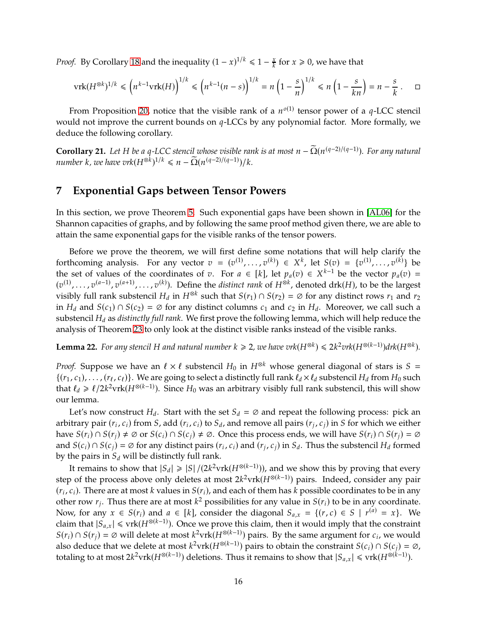*Proof.* By Corollary [18](#page-14-0) and the inequality  $(1 - x)^{1/k} \leq 1 - \frac{x}{k}$  $\frac{x}{k}$  for  $x \ge 0$ , we have that

$$
\operatorname{vrk}(H^{\otimes k})^{1/k} \leqslant \left(n^{k-1}\operatorname{vrk}(H)\right)^{1/k} \leqslant \left(n^{k-1}(n-s)\right)^{1/k} = n\left(1-\frac{s}{n}\right)^{1/k} \leqslant n\left(1-\frac{s}{kn}\right) = n-\frac{s}{k} \qquad \Box
$$

From Proposition [20,](#page-15-1) notice that the visible rank of a  $n^{o(1)}$  tensor power of a q-LCC stencil would not improve the current bounds on  $q$ -LCCs by any polynomial factor. More formally, we deduce the following corollary.

**Corollary 21.** Let H be a q-LCC stencil whose visible rank is at most  $n - \Omega(n^{(q-2)/(q-1)})$ . For any natural *number*  $k$ *, we have vrk* $(H^{\otimes k})^{1/k} \leq n - \widetilde{\Omega}(n^{(q-2)/(q-1)})/k$ .

## <span id="page-16-0"></span>**7 Exponential Gaps between Tensor Powers**

In this section, we prove Theorem [5.](#page-4-0) Such exponential gaps have been shown in [\[AL06\]](#page-19-7) for the Shannon capacities of graphs, and by following the same proof method given there, we are able to attain the same exponential gaps for the visible ranks of the tensor powers.

Before we prove the theorem, we will first define some notations that will help clarify the forthcoming analysis. For any vector  $v = (v^{(1)}, \ldots, v^{(k)}) \in X^k$ , let  $S(v) = \{v^{(1)}, \ldots, v^{(k)}\}$  be the set of values of the coordinates of  $v$ . For  $a \in [k]$ , let  $p_a(v) \in X^{k-1}$  be the vector  $p_a(v) =$  $(v^{(1)}, \ldots, v^{(a-1)}, v^{(a+1)}, \ldots, v^{(k)})$ . Define the *distinct rank* of  $H^{\otimes k}$ , denoted drk(*H*), to be the largest visibly full rank substencil  $H_d$  in  $H^{\otimes k}$  such that  $S(r_1) \cap S(r_2) = \emptyset$  for any distinct rows  $r_1$  and  $r_2$ in  $H_d$  and  $S(c_1) \cap S(c_2) = \emptyset$  for any distinct columns  $c_1$  and  $c_2$  in  $H_d$ . Moreover, we call such a substencil H<sub>d</sub> as *distinctly full rank*. We first prove the following lemma, which will help reduce the analysis of Theorem [23](#page-17-0) to only look at the distinct visible ranks instead of the visible ranks.

<span id="page-16-1"></span>**Lemma 22.** For any stencil H and natural number  $k \geqslant 2$ , we have  $\text{vrk}(H^{\otimes k}) \leqslant 2k^2 \text{vrk}(H^{\otimes (k-1)})$ drk $(H^{\otimes k})$ .

*Proof.* Suppose we have an  $\ell \times \ell$  substencil  $H_0$  in  $H^{\otimes k}$  whose general diagonal of stars is  $S =$  $\{(r_1, c_1), \ldots, (r_\ell, c_\ell)\}\.$  We are going to select a distinctly full rank  $\ell_d \times \ell_d$  substencil  $H_d$  from  $H_0$  such that  $\ell_d \geq \ell/2k^2$ vrk $(H^{\otimes (k-1)})$ . Since  $H_0$  was an arbitrary visibly full rank substencil, this will show our lemma.

Let's now construct  $H_d$ . Start with the set  $S_d = \emptyset$  and repeat the following process: pick an arbitrary pair  $(r_i, c_i)$  from S, add  $(r_i, c_i)$  to  $S_d$ , and remove all pairs  $(r_j, c_j)$  in S for which we either have  $S(r_i) \cap S(r_j) \neq \emptyset$  or  $S(c_i) \cap S(c_j) \neq \emptyset$ . Once this process ends, we will have  $S(r_i) \cap S(r_j) = \emptyset$ and  $S(c_i) \cap S(c_j) = \emptyset$  for any distinct pairs  $(r_i, c_i)$  and  $(r_j, c_j)$  in  $S_d$ . Thus the substencil  $H_d$  formed by the pairs in  $S_d$  will be distinctly full rank.

It remains to show that  $|S_d| \geq |S|/(2k^2 \text{vrk}(H^{\otimes(k-1)}))$ , and we show this by proving that every step of the process above only deletes at most  $2k^2 \text{vrk}(H^{\otimes (k-1)})$  pairs. Indeed, consider any pair  $(r_i, c_i)$ . There are at most k values in  $S(r_i)$ , and each of them has k possible coordinates to be in any other row  $r_j$ . Thus there are at most  $k^2$  possibilities for any value in  $S(r_i)$  to be in any coordinate. Now, for any  $x \in S(r_i)$  and  $a \in [k]$ , consider the diagonal  $S_{a,x} = \{(r, c) \in S \mid r^{(a)} = x\}$ . We claim that  $|S_{a,x}| \le \text{vrk}(H^{\otimes (k-1)})$ . Once we prove this claim, then it would imply that the constraint  $S(r_i) \cap S(r_j) = \emptyset$  will delete at most  $k^2$ vrk $(H^{\otimes (k-1)})$  pairs. By the same argument for  $c_i$ , we would also deduce that we delete at most  $k^2$ vrk $(H^{\otimes (k-1)})$  pairs to obtain the constraint  $S(c_i) \cap S(c_j) = \emptyset$ , totaling to at most  $2k^2 \text{vrk}(H^{\otimes (k-1)})$  deletions. Thus it remains to show that  $|S_{a,x}| \le \text{vrk}(H^{\otimes (k-1)})$ .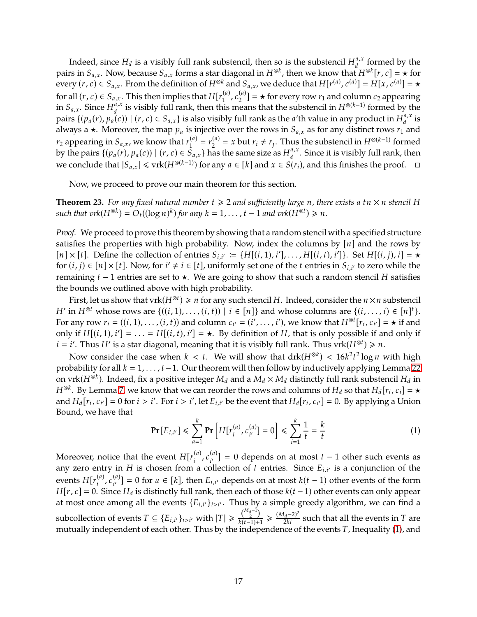Indeed, since  $H_d$  is a visibly full rank substencil, then so is the substencil  $H_d^{a,x}$  $\int_{d}^{u,x}$  formed by the pairs in  $S_{a,x}$ . Now, because  $S_{a,x}$  forms a star diagonal in  $H^{\otimes k}$ , then we know that  $H^{\otimes k}[r,c] = \star$  for every  $(r, c) \in S_{a,x}$ . From the definition of  $H^{\otimes k}$  and  $S_{a,x}$ , we deduce that  $H[r^{(a)}, c^{(a)}] = H[x, c^{(a)}] = \star$ for all  $(r, c) \in S_{a,x}$ . This then implies that  $H[r_1^{(a)}, c_2^{(a)}] = \star$  for every row  $r_1$  and column  $c_2$  appearing in  $S_{a,x}$ . Since  $H_a^{a,x}$  $\frac{a}{d}$ , is visibly full rank, then this means that the substencil in  $H^{\otimes (k-1)}$  formed by the pairs  $\{(p_a(r), p_a(c)) \mid (r, c) \in S_{a,x}\}\$  is also visibly full rank as the a'th value in any product in  $H_d^{a,x}$  $\int_{d}^{u,x}$  is always a  $\star$ . Moreover, the map  $p_a$  is injective over the rows in  $S_{a,x}$  as for any distinct rows  $r_1$  and  $r_2$  appearing in  $S_{a,x}$ , we know that  $r_1^{(a)} = r_2^{(a)} = x$  but  $r_i \neq r_j$ . Thus the substencil in  $H^{\otimes (k-1)}$  formed by the pairs  $\{(p_a(r), p_a(c)) | (r, c) \in \overline{S}_{a,x}\}\)$  has the same size as  $H_d^{a,x}$  $_{d}^{u,x}$ . Since it is visibly full rank, then we conclude that  $|S_{a,x}| \leqslant \text{vrk}(H^{\otimes(k-1)})$  for any  $a \in [k]$  and  $x \in S(r_i)$ , and this finishes the proof.  $\Box$ 

Now, we proceed to prove our main theorem for this section.

<span id="page-17-0"></span>**Theorem 23.** For any fixed natural number  $t \geq 2$  and sufficiently large n, there exists a  $tn \times n$  stencil H  $\text{such that } \text{tr}(H^{\otimes k}) = O_t((\log n)^k) \text{ for any } k = 1, \ldots, t-1 \text{ and } \text{tr}(H^{\otimes t}) \geq n.$ 

*Proof.* We proceed to prove this theorem by showing that a random stencil with a specified structure satisfies the properties with high probability. Now, index the columns by  $[n]$  and the rows by  $[n] \times [t]$ . Define the collection of entries  $S_{i,i'} := \{H[(i,1), i'], \ldots, H[(i, t), i']\}$ . Set  $H[(i, j), i] = \star$ for  $(i, j) \in [n] \times [t]$ . Now, for  $i' \neq i \in [t]$ , uniformly set one of the  $t$  entries in  $S_{i,i'}$  to zero while the remaining  $t - 1$  entries are set to  $\star$ . We are going to show that such a random stencil H satisfies the bounds we outlined above with high probability.

First, let us show that  $vrk(H^{\otimes t}) \geq n$  for any such stencil H. Indeed, consider the  $n \times n$  substencil  $H'$  in  $H^{\otimes t}$  whose rows are  $\{((i,1),..., (i,t)) \mid i \in [n]\}$  and whose columns are  $\{(i,...,i) \in [n]^t\}$ . For any row  $r_i = ((i, 1), ..., (i, t))$  and column  $c_{i'} = (i', ..., i')$ , we know that  $H^{\otimes t}[r_i, c_{i'}] = \star$  if and only if  $H[(i,1), i'] = \ldots = H[(i, t), i'] = \star$ . By definition of H, that is only possible if and only if  $i = i'$ . Thus  $H'$  is a star diagonal, meaning that it is visibly full rank. Thus  $\text{vrk}(H^{\otimes t}) \geq n$ .

Now consider the case when  $k < t$ . We will show that  $drk(H^{\otimes k}) < 16k^2t^2 \log n$  with high probability for all  $k = 1, \ldots, t-1$ . Our theorem will then follow by inductively applying Lemma [22](#page-16-1) on vrk( $H^{\otimes k}$ ). Indeed, fix a positive integer  $M_d$  and a  $M_d \times M_d$  distinctly full rank substencil  $H_d$  in  $H^{\otimes k}$ . By Lemma [7,](#page-8-2) we know that we can reorder the rows and columns of  $H_d$  so that  $H_d[r_i, c_i] = \star$ and  $H_d[r_i, c_{i'}]=0$  for  $i > i'$ . For  $i > i'$ , let  $E_{i,i'}$  be the event that  $H_d[r_i, c_{i'}]=0$ . By applying a Union Bound, we have that

<span id="page-17-1"></span>
$$
\Pr\left[E_{i,i'}\right] \leq \sum_{a=1}^{k} \Pr\left[H[r_i^{(a)}, c_{i'}^{(a)}\right] = 0\right] \leq \sum_{i=1}^{k} \frac{1}{t} = \frac{k}{t}
$$
 (1)

Moreover, notice that the event  $H[r_i^{(a)}, c_{i'}^{(a)}] = 0$  depends on at most  $t-1$  other such events as any zero entry in  $H$  is chosen from a collection of  $t$  entries. Since  $E_{i,i'}$  is a conjunction of the events  $H[r_i^{(a)}, c_{i'}^{(a)}] = 0$  for  $a \in [k]$ , then  $E_{i,i'}$  depends on at most  $k(t-1)$  other events of the form  $H[r, c] = 0$ . Since  $H_d$  is distinctly full rank, then each of those  $k(t - 1)$  other events can only appear at most once among all the events  $\{E_{i,i'}\}_{i>i'}$ . Thus by a simple greedy algorithm, we can find a subcollection of events  $T \subseteq \{E_{i,i'}\}_{i>i'}$  with  $|T| \geq \frac{\binom{M_d-1}{2}}{k(t-1)+1}$  $\frac{\binom{m_d-1}{2}}{k(t-1)+1} \ge \frac{(M_d-2)^2}{2kt}$  such that all the events in T are mutually independent of each other. Thus by the independence of the events  $T$ , Inequality [\(1\)](#page-17-1), and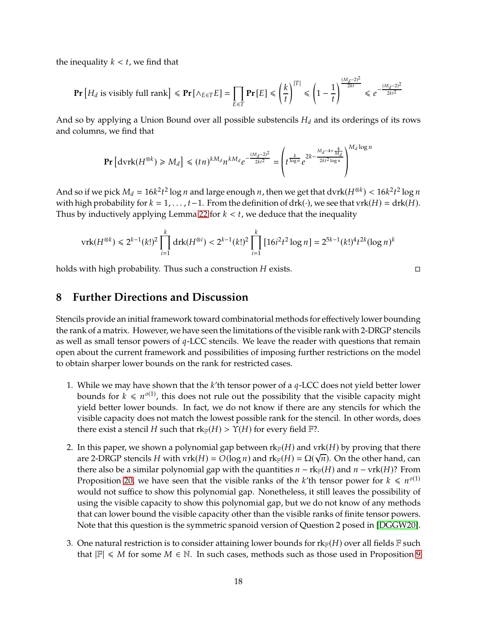the inequality  $k < t$ , we find that

$$
\Pr\left[H_d \text{ is visibility full rank}\right] \leqslant \Pr\left[\wedge_{E \in T} E\right] = \prod_{E \in T} \Pr\left[E\right] \leqslant \left(\frac{k}{t}\right)^{|T|} \leqslant \left(1 - \frac{1}{t}\right)^{\frac{(M_d - 2)^2}{2kt}} \leqslant e^{-\frac{(M_d - 2)^2}{2kt^2}}
$$

And so by applying a Union Bound over all possible substencils  $H_d$  and its orderings of its rows and columns, we find that

$$
\mathbf{Pr}\left[\mathrm{dvrk}(H^{\otimes k}) \geq M_d\right] \leq (tn)^{kM_d} n^{kM_d} e^{-\frac{(M_d-2)^2}{2kt^2}} = \left(t^{\frac{k}{\log n}} e^{2k - \frac{M_d - 4 + \frac{4}{M_d}}{2kt^2 \log n}}\right)^{M_d \log n}
$$

And so if we pick  $M_d = 16k^2t^2\log n$  and large enough n, then we get that  $\text{dvrk}(H^{\otimes k}) < 16k^2t^2\log n$ with high probability for  $k = 1, \ldots, t-1$ . From the definition of drk( $\cdot$ ), we see that vrk( $H$ ) = drk( $H$ ). Thus by inductively applying Lemma [22](#page-16-1) for  $k < t$ , we deduce that the inequality

$$
\operatorname{vrk}(H^{\otimes k}) \le 2^{k-1}(k!)^2 \prod_{i=1}^k \operatorname{drk}(H^{\otimes i}) < 2^{k-1}(k!)^2 \prod_{i=1}^k \left[ 16i^2 t^2 \log n \right] = 2^{5k-1}(k!)^4 t^{2k} (\log n)^k
$$

<span id="page-18-0"></span>holds with high probability. Thus such a construction  $H$  exists.  $\Box$ 

## **8 Further Directions and Discussion**

Stencils provide an initial framework toward combinatorial methods for effectively lower bounding the rank of a matrix. However, we have seen the limitations of the visible rank with 2-DRGP stencils as well as small tensor powers of  $q$ -LCC stencils. We leave the reader with questions that remain open about the current framework and possibilities of imposing further restrictions on the model to obtain sharper lower bounds on the rank for restricted cases.

- <span id="page-18-1"></span>1. While we may have shown that the  $k$ 'th tensor power of a  $q$ -LCC does not yield better lower bounds for  $k \leq n^{o(1)}$ , this does not rule out the possibility that the visible capacity might yield better lower bounds. In fact, we do not know if there are any stencils for which the visible capacity does not match the lowest possible rank for the stencil. In other words, does there exist a stencil H such that  $rk_F(H) > \Upsilon(H)$  for every field  $\mathbb{F}$ ?.
- 2. In this paper, we shown a polynomial gap between  $rk_F(H)$  and  $vrk(H)$  by proving that there are 2-DRGP stencils H with vrk(H) =  $O(\log n)$  and rk<sub>F</sub>(H) =  $\Omega(\sqrt{n})$ . On the other hand, can there also be a similar polynomial gap with the quantities  $n - \text{rk}_{\mathbb{F}}(H)$  and  $n - \text{vrk}(H)$ ? From Proposition [20,](#page-15-1) we have seen that the visible ranks of the k'th tensor power for  $k \leqslant n^{o(1)}$ would not suffice to show this polynomial gap. Nonetheless, it still leaves the possibility of using the visible capacity to show this polynomial gap, but we do not know of any methods that can lower bound the visible capacity other than the visible ranks of finite tensor powers. Note that this question is the symmetric spanoid version of Question 2 posed in [\[DGGW20\]](#page-19-0).
- 3. One natural restriction is to consider attaining lower bounds for  $rk_{\mathbb{F}}(H)$  over all fields  $\mathbb F$  such that  $\mathbb{F} \leq M$  for some  $M \in \mathbb{N}$ . In such cases, methods such as those used in Proposition [9](#page-9-2)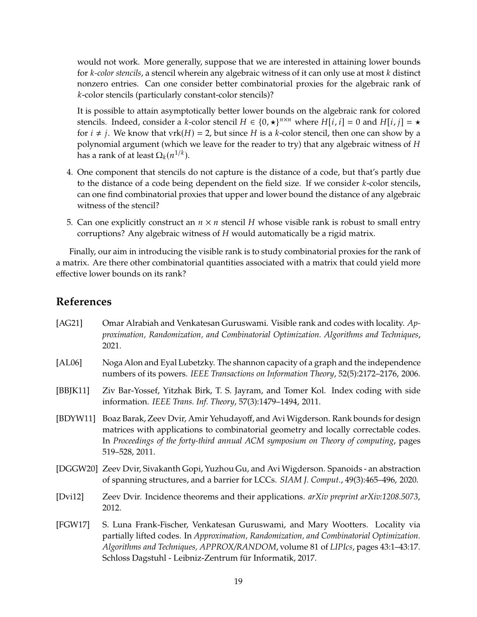would not work. More generally, suppose that we are interested in attaining lower bounds for *k*-color stencils, a stencil wherein any algebraic witness of it can only use at most *k* distinct nonzero entries. Can one consider better combinatorial proxies for the algebraic rank of *k*-color stencils (particularly constant-color stencils)?

It is possible to attain asymptotically better lower bounds on the algebraic rank for colored stencils. Indeed, consider a *k*-color stencil  $H \in \{0, \star\}^{n \times n}$  where  $H[i, i] = 0$  and  $H[i, j] = \star$ for  $i \neq j$ . We know that vrk $(H) = 2$ , but since H is a k-color stencil, then one can show by a polynomial argument (which we leave for the reader to try) that any algebraic witness of  $H$ has a rank of at least  $\Omega_k(n^{1/k})$ .

- 4. One component that stencils do not capture is the distance of a code, but that's partly due to the distance of a code being dependent on the field size. If we consider  $k$ -color stencils, can one find combinatorial proxies that upper and lower bound the distance of any algebraic witness of the stencil?
- <span id="page-19-5"></span>5. Can one explicitly construct an  $n \times n$  stencil H whose visible rank is robust to small entry corruptions? Any algebraic witness of  $H$  would automatically be a rigid matrix.

Finally, our aim in introducing the visible rank is to study combinatorial proxies for the rank of a matrix. Are there other combinatorial quantities associated with a matrix that could yield more effective lower bounds on its rank?

## **References**

<span id="page-19-7"></span><span id="page-19-6"></span><span id="page-19-4"></span><span id="page-19-3"></span><span id="page-19-2"></span><span id="page-19-1"></span><span id="page-19-0"></span>

| [AG21]   | Omar Alrabiah and Venkatesan Guruswami. Visible rank and codes with locality. Ap-<br>proximation, Randomization, and Combinatorial Optimization. Algorithms and Techniques,<br>2021.                                                                                                                                     |
|----------|--------------------------------------------------------------------------------------------------------------------------------------------------------------------------------------------------------------------------------------------------------------------------------------------------------------------------|
| [AL06]   | Noga Alon and Eyal Lubetzky. The shannon capacity of a graph and the independence<br>numbers of its powers. IEEE Transactions on Information Theory, 52(5):2172-2176, 2006.                                                                                                                                              |
| [BBJK11] | Ziv Bar-Yossef, Yitzhak Birk, T. S. Jayram, and Tomer Kol. Index coding with side<br>information. IEEE Trans. Inf. Theory, 57(3):1479-1494, 2011.                                                                                                                                                                        |
| [BDYW11] | Boaz Barak, Zeev Dvir, Amir Yehudayoff, and Avi Wigderson. Rank bounds for design<br>matrices with applications to combinatorial geometry and locally correctable codes.<br>In Proceedings of the forty-third annual ACM symposium on Theory of computing, pages<br>519-528, 2011.                                       |
|          | [DGGW20] Zeev Dvir, Sivakanth Gopi, Yuzhou Gu, and Avi Wigderson. Spanoids - an abstraction<br>of spanning structures, and a barrier for LCCs. SIAM J. Comput., 49(3):465-496, 2020.                                                                                                                                     |
| [Dvi12]  | Zeev Dvir. Incidence theorems and their applications. arXiv preprint arXiv:1208.5073,<br>2012.                                                                                                                                                                                                                           |
| [FGW17]  | S. Luna Frank-Fischer, Venkatesan Guruswami, and Mary Wootters. Locality via<br>partially lifted codes. In Approximation, Randomization, and Combinatorial Optimization.<br>Algorithms and Techniques, APPROX/RANDOM, volume 81 of LIPIcs, pages 43:1-43:17.<br>Schloss Dagstuhl - Leibniz-Zentrum für Informatik, 2017. |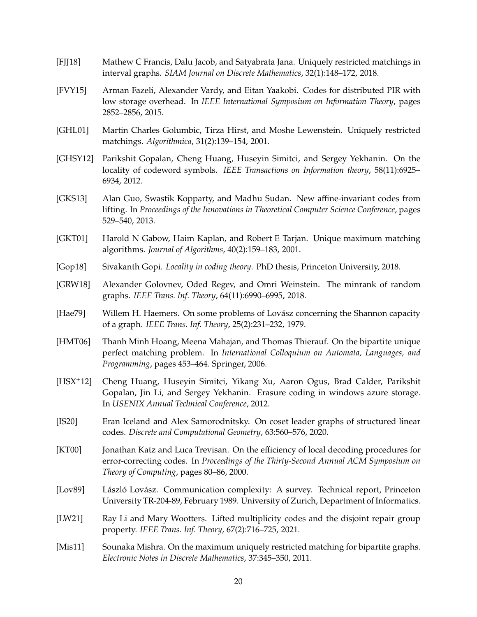- <span id="page-20-12"></span>[FJJ18] Mathew C Francis, Dalu Jacob, and Satyabrata Jana. Uniquely restricted matchings in interval graphs. *SIAM Journal on Discrete Mathematics*, 32(1):148–172, 2018.
- <span id="page-20-6"></span>[FVY15] Arman Fazeli, Alexander Vardy, and Eitan Yaakobi. Codes for distributed PIR with low storage overhead. In *IEEE International Symposium on Information Theory*, pages 2852–2856, 2015.
- <span id="page-20-8"></span>[GHL01] Martin Charles Golumbic, Tirza Hirst, and Moshe Lewenstein. Uniquely restricted matchings. *Algorithmica*, 31(2):139–154, 2001.
- <span id="page-20-1"></span>[GHSY12] Parikshit Gopalan, Cheng Huang, Huseyin Simitci, and Sergey Yekhanin. On the locality of codeword symbols. *IEEE Transactions on Information theory*, 58(11):6925– 6934, 2012.
- <span id="page-20-3"></span>[GKS13] Alan Guo, Swastik Kopparty, and Madhu Sudan. New affine-invariant codes from lifting. In *Proceedings of the Innovations in Theoretical Computer Science Conference*, pages 529–540, 2013.
- <span id="page-20-9"></span>[GKT01] Harold N Gabow, Haim Kaplan, and Robert E Tarjan. Unique maximum matching algorithms. *Journal of Algorithms*, 40(2):159–183, 2001.
- <span id="page-20-0"></span>[Gop18] Sivakanth Gopi. *Locality in coding theory*. PhD thesis, Princeton University, 2018.
- <span id="page-20-14"></span>[GRW18] Alexander Golovnev, Oded Regev, and Omri Weinstein. The minrank of random graphs. *IEEE Trans. Inf. Theory*, 64(11):6990–6995, 2018.
- <span id="page-20-13"></span>[Hae79] Willem H. Haemers. On some problems of Lovász concerning the Shannon capacity of a graph. *IEEE Trans. Inf. Theory*, 25(2):231–232, 1979.
- <span id="page-20-10"></span>[HMT06] Thanh Minh Hoang, Meena Mahajan, and Thomas Thierauf. On the bipartite unique perfect matching problem. In *International Colloquium on Automata, Languages, and Programming*, pages 453–464. Springer, 2006.
- <span id="page-20-2"></span>[HSX+12] Cheng Huang, Huseyin Simitci, Yikang Xu, Aaron Ogus, Brad Calder, Parikshit Gopalan, Jin Li, and Sergey Yekhanin. Erasure coding in windows azure storage. In *USENIX Annual Technical Conference*, 2012.
- <span id="page-20-5"></span>[IS20] Eran Iceland and Alex Samorodnitsky. On coset leader graphs of structured linear codes. *Discrete and Computational Geometry*, 63:560–576, 2020.
- <span id="page-20-4"></span>[KT00] Jonathan Katz and Luca Trevisan. On the efficiency of local decoding procedures for error-correcting codes. In *Proceedings of the Thirty-Second Annual ACM Symposium on Theory of Computing*, pages 80–86, 2000.
- <span id="page-20-15"></span>[Lov89] László Lovász. Communication complexity: A survey. Technical report, Princeton University TR-204-89, February 1989. University of Zurich, Department of Informatics.
- <span id="page-20-7"></span>[LW21] Ray Li and Mary Wootters. Lifted multiplicity codes and the disjoint repair group property. *IEEE Trans. Inf. Theory*, 67(2):716–725, 2021.
- <span id="page-20-11"></span>[Mis11] Sounaka Mishra. On the maximum uniquely restricted matching for bipartite graphs. *Electronic Notes in Discrete Mathematics*, 37:345–350, 2011.